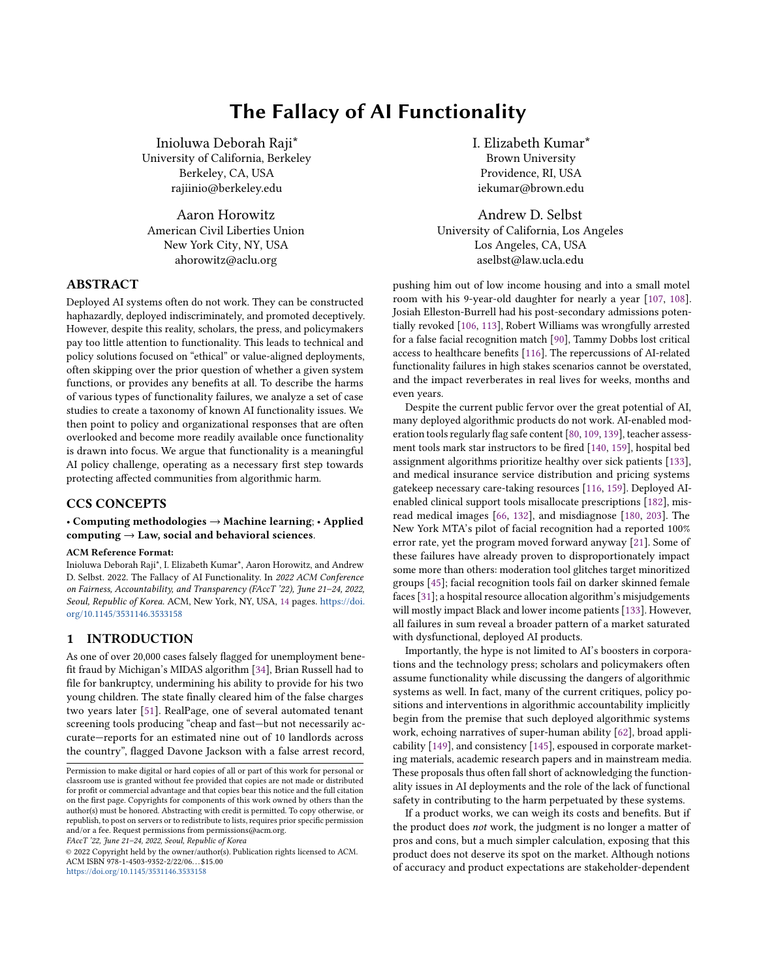# The Fallacy of AI Functionality

Inioluwa Deborah Raji\* University of California, Berkeley Berkeley, CA, USA rajiinio@berkeley.edu

Aaron Horowitz American Civil Liberties Union New York City, NY, USA ahorowitz@aclu.org

## ABSTRACT

Deployed AI systems often do not work. They can be constructed haphazardly, deployed indiscriminately, and promoted deceptively. However, despite this reality, scholars, the press, and policymakers pay too little attention to functionality. This leads to technical and policy solutions focused on "ethical" or value-aligned deployments, often skipping over the prior question of whether a given system functions, or provides any benefits at all. To describe the harms of various types of functionality failures, we analyze a set of case studies to create a taxonomy of known AI functionality issues. We then point to policy and organizational responses that are often overlooked and become more readily available once functionality is drawn into focus. We argue that functionality is a meaningful AI policy challenge, operating as a necessary first step towards protecting affected communities from algorithmic harm.

# CCS CONCEPTS

### • Computing methodologies → Machine learning; • Applied computing  $\rightarrow$  Law, social and behavioral sciences.

#### ACM Reference Format:

Inioluwa Deborah Raji\*, I. Elizabeth Kumar\*, Aaron Horowitz, and Andrew D. Selbst. 2022. The Fallacy of AI Functionality. In 2022 ACM Conference on Fairness, Accountability, and Transparency (FAccT '22), June 21–24, 2022, Seoul, Republic of Korea. ACM, New York, NY, USA, [14](#page-13-0) pages. [https://doi.](https://doi.org/10.1145/3531146.3533158) [org/10.1145/3531146.3533158](https://doi.org/10.1145/3531146.3533158)

### 1 INTRODUCTION

As one of over 20,000 cases falsely flagged for unemployment benefit fraud by Michigan's MIDAS algorithm [\[34\]](#page-10-0), Brian Russell had to file for bankruptcy, undermining his ability to provide for his two young children. The state finally cleared him of the false charges two years later [\[51\]](#page-10-1). RealPage, one of several automated tenant screening tools producing "cheap and fast—but not necessarily accurate—reports for an estimated nine out of 10 landlords across the country", flagged Davone Jackson with a false arrest record,

FAccT '22, June 21–24, 2022, Seoul, Republic of Korea

© 2022 Copyright held by the owner/author(s). Publication rights licensed to ACM. ACM ISBN 978-1-4503-9352-2/22/06. . . \$15.00 <https://doi.org/10.1145/3531146.3533158>

I. Elizabeth Kumar\* Brown University Providence, RI, USA iekumar@brown.edu

Andrew D. Selbst University of California, Los Angeles Los Angeles, CA, USA aselbst@law.ucla.edu

pushing him out of low income housing and into a small motel room with his 9-year-old daughter for nearly a year [\[107,](#page-11-0) [108\]](#page-11-1). Josiah Elleston-Burrell had his post-secondary admissions potentially revoked [\[106,](#page-11-2) [113\]](#page-11-3), Robert Williams was wrongfully arrested for a false facial recognition match [\[90\]](#page-10-2), Tammy Dobbs lost critical access to healthcare benefits [\[116\]](#page-11-4). The repercussions of AI-related functionality failures in high stakes scenarios cannot be overstated, and the impact reverberates in real lives for weeks, months and even years.

Despite the current public fervor over the great potential of AI, many deployed algorithmic products do not work. AI-enabled moderation tools regularly flag safe content [\[80,](#page-10-3) [109,](#page-11-5) [139\]](#page-11-6), teacher assessment tools mark star instructors to be fired [\[140,](#page-11-7) [159\]](#page-12-0), hospital bed assignment algorithms prioritize healthy over sick patients [\[133\]](#page-11-8), and medical insurance service distribution and pricing systems gatekeep necessary care-taking resources [\[116,](#page-11-4) [159\]](#page-12-0). Deployed AIenabled clinical support tools misallocate prescriptions [\[182\]](#page-12-1), misread medical images [\[66,](#page-10-4) [132\]](#page-11-9), and misdiagnose [\[180,](#page-12-2) [203\]](#page-13-1). The New York MTA's pilot of facial recognition had a reported 100% error rate, yet the program moved forward anyway [\[21\]](#page-9-0). Some of these failures have already proven to disproportionately impact some more than others: moderation tool glitches target minoritized groups [\[45\]](#page-10-5); facial recognition tools fail on darker skinned female faces [\[31\]](#page-9-1); a hospital resource allocation algorithm's misjudgements will mostly impact Black and lower income patients [\[133\]](#page-11-8). However, all failures in sum reveal a broader pattern of a market saturated with dysfunctional, deployed AI products.

Importantly, the hype is not limited to AI's boosters in corporations and the technology press; scholars and policymakers often assume functionality while discussing the dangers of algorithmic systems as well. In fact, many of the current critiques, policy positions and interventions in algorithmic accountability implicitly begin from the premise that such deployed algorithmic systems work, echoing narratives of super-human ability [\[62\]](#page-10-6), broad applicability [\[149\]](#page-12-3), and consistency [\[145\]](#page-11-10), espoused in corporate marketing materials, academic research papers and in mainstream media. These proposals thus often fall short of acknowledging the functionality issues in AI deployments and the role of the lack of functional safety in contributing to the harm perpetuated by these systems.

If a product works, we can weigh its costs and benefits. But if the product does not work, the judgment is no longer a matter of pros and cons, but a much simpler calculation, exposing that this product does not deserve its spot on the market. Although notions of accuracy and product expectations are stakeholder-dependent

Permission to make digital or hard copies of all or part of this work for personal or classroom use is granted without fee provided that copies are not made or distributed for profit or commercial advantage and that copies bear this notice and the full citation on the first page. Copyrights for components of this work owned by others than the author(s) must be honored. Abstracting with credit is permitted. To copy otherwise, or republish, to post on servers or to redistribute to lists, requires prior specific permission and/or a fee. Request permissions from permissions@acm.org.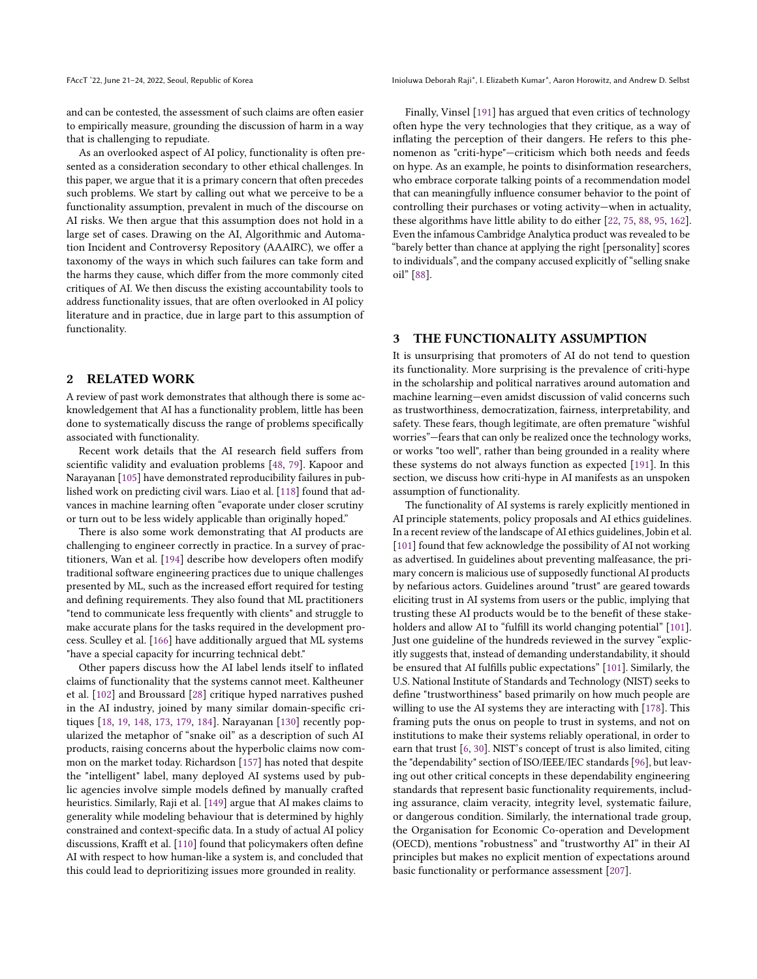and can be contested, the assessment of such claims are often easier to empirically measure, grounding the discussion of harm in a way that is challenging to repudiate.

As an overlooked aspect of AI policy, functionality is often presented as a consideration secondary to other ethical challenges. In this paper, we argue that it is a primary concern that often precedes such problems. We start by calling out what we perceive to be a functionality assumption, prevalent in much of the discourse on AI risks. We then argue that this assumption does not hold in a large set of cases. Drawing on the AI, Algorithmic and Automation Incident and Controversy Repository (AAAIRC), we offer a taxonomy of the ways in which such failures can take form and the harms they cause, which differ from the more commonly cited critiques of AI. We then discuss the existing accountability tools to address functionality issues, that are often overlooked in AI policy literature and in practice, due in large part to this assumption of functionality.

#### 2 RELATED WORK

A review of past work demonstrates that although there is some acknowledgement that AI has a functionality problem, little has been done to systematically discuss the range of problems specifically associated with functionality.

Recent work details that the AI research field suffers from scientific validity and evaluation problems [\[48,](#page-10-7) [79\]](#page-10-8). Kapoor and Narayanan [\[105\]](#page-11-11) have demonstrated reproducibility failures in published work on predicting civil wars. Liao et al. [\[118\]](#page-11-12) found that advances in machine learning often "evaporate under closer scrutiny or turn out to be less widely applicable than originally hoped."

There is also some work demonstrating that AI products are challenging to engineer correctly in practice. In a survey of practitioners, Wan et al. [\[194\]](#page-12-4) describe how developers often modify traditional software engineering practices due to unique challenges presented by ML, such as the increased effort required for testing and defining requirements. They also found that ML practitioners "tend to communicate less frequently with clients" and struggle to make accurate plans for the tasks required in the development process. Sculley et al. [\[166\]](#page-12-5) have additionally argued that ML systems "have a special capacity for incurring technical debt."

Other papers discuss how the AI label lends itself to inflated claims of functionality that the systems cannot meet. Kaltheuner et al. [\[102\]](#page-11-13) and Broussard [\[28\]](#page-9-2) critique hyped narratives pushed in the AI industry, joined by many similar domain-specific critiques [\[18,](#page-9-3) [19,](#page-9-4) [148,](#page-12-6) [173,](#page-12-7) [179,](#page-12-8) [184\]](#page-12-9). Narayanan [\[130\]](#page-11-14) recently popularized the metaphor of "snake oil" as a description of such AI products, raising concerns about the hyperbolic claims now common on the market today. Richardson [\[157\]](#page-12-10) has noted that despite the "intelligent" label, many deployed AI systems used by public agencies involve simple models defined by manually crafted heuristics. Similarly, Raji et al. [\[149\]](#page-12-3) argue that AI makes claims to generality while modeling behaviour that is determined by highly constrained and context-specific data. In a study of actual AI policy discussions, Krafft et al. [\[110\]](#page-11-15) found that policymakers often define AI with respect to how human-like a system is, and concluded that this could lead to deprioritizing issues more grounded in reality.

FAccT '22, June 21-24, 2022, Seoul, Republic of Korea Inioluma Deborah Raji\*, I. Elizabeth Kumar\*, Aaron Horowitz, and Andrew D. Selbst

Finally, Vinsel [\[191\]](#page-12-11) has argued that even critics of technology often hype the very technologies that they critique, as a way of inflating the perception of their dangers. He refers to this phenomenon as "criti-hype"—criticism which both needs and feeds on hype. As an example, he points to disinformation researchers, who embrace corporate talking points of a recommendation model that can meaningfully influence consumer behavior to the point of controlling their purchases or voting activity—when in actuality, these algorithms have little ability to do either [\[22,](#page-9-5) [75,](#page-10-9) [88,](#page-10-10) [95,](#page-11-16) [162\]](#page-12-12). Even the infamous Cambridge Analytica product was revealed to be "barely better than chance at applying the right [personality] scores to individuals", and the company accused explicitly of "selling snake oil" [\[88\]](#page-10-10).

## <span id="page-1-0"></span>3 THE FUNCTIONALITY ASSUMPTION

It is unsurprising that promoters of AI do not tend to question its functionality. More surprising is the prevalence of criti-hype in the scholarship and political narratives around automation and machine learning—even amidst discussion of valid concerns such as trustworthiness, democratization, fairness, interpretability, and safety. These fears, though legitimate, are often premature "wishful worries"—fears that can only be realized once the technology works, or works "too well", rather than being grounded in a reality where these systems do not always function as expected [\[191\]](#page-12-11). In this section, we discuss how criti-hype in AI manifests as an unspoken assumption of functionality.

The functionality of AI systems is rarely explicitly mentioned in AI principle statements, policy proposals and AI ethics guidelines. In a recent review of the landscape of AI ethics guidelines, Jobin et al. [\[101\]](#page-11-17) found that few acknowledge the possibility of AI not working as advertised. In guidelines about preventing malfeasance, the primary concern is malicious use of supposedly functional AI products by nefarious actors. Guidelines around "trust" are geared towards eliciting trust in AI systems from users or the public, implying that trusting these AI products would be to the benefit of these stakeholders and allow AI to "fulfill its world changing potential" [\[101\]](#page-11-17). Just one guideline of the hundreds reviewed in the survey "explicitly suggests that, instead of demanding understandability, it should be ensured that AI fulfills public expectations" [\[101\]](#page-11-17). Similarly, the U.S. National Institute of Standards and Technology (NIST) seeks to define "trustworthiness" based primarily on how much people are willing to use the AI systems they are interacting with [\[178\]](#page-12-13). This framing puts the onus on people to trust in systems, and not on institutions to make their systems reliably operational, in order to earn that trust [\[6,](#page-9-6) [30\]](#page-9-7). NIST's concept of trust is also limited, citing the "dependability" section of ISO/IEEE/IEC standards [\[96\]](#page-11-18), but leaving out other critical concepts in these dependability engineering standards that represent basic functionality requirements, including assurance, claim veracity, integrity level, systematic failure, or dangerous condition. Similarly, the international trade group, the Organisation for Economic Co-operation and Development (OECD), mentions "robustness" and "trustworthy AI" in their AI principles but makes no explicit mention of expectations around basic functionality or performance assessment [\[207\]](#page-13-2).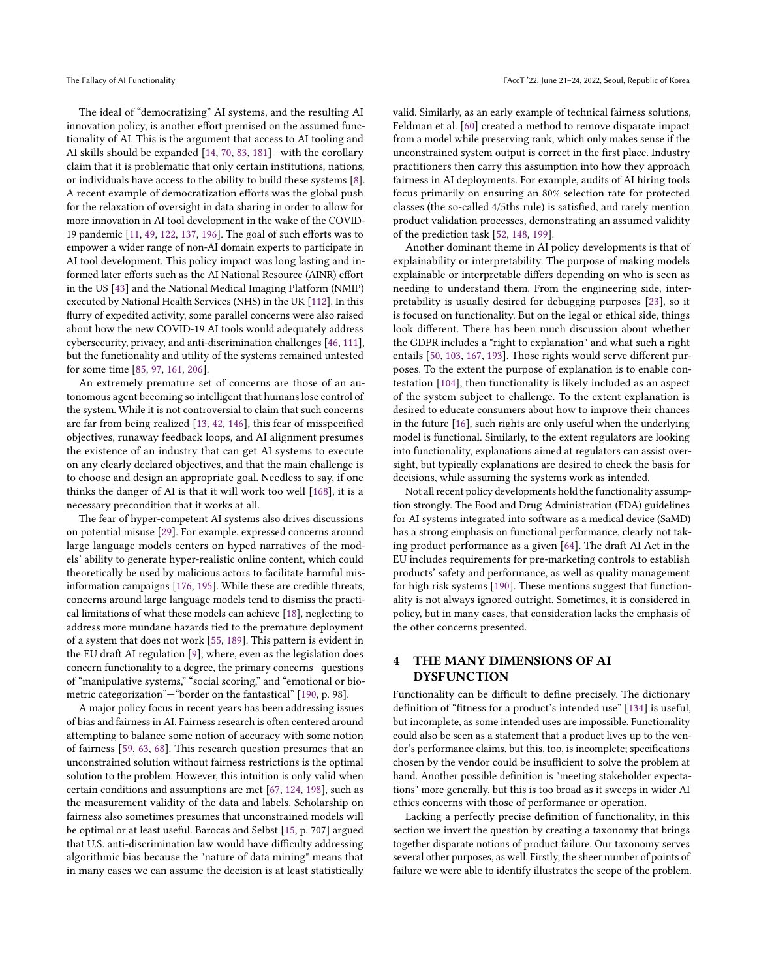The ideal of "democratizing" AI systems, and the resulting AI innovation policy, is another effort premised on the assumed functionality of AI. This is the argument that access to AI tooling and AI skills should be expanded [\[14,](#page-9-8) [70,](#page-10-11) [83,](#page-10-12) [181\]](#page-12-14)—with the corollary claim that it is problematic that only certain institutions, nations, or individuals have access to the ability to build these systems [\[8\]](#page-9-9). A recent example of democratization efforts was the global push for the relaxation of oversight in data sharing in order to allow for more innovation in AI tool development in the wake of the COVID-19 pandemic [\[11,](#page-9-10) [49,](#page-10-13) [122,](#page-11-19) [137,](#page-11-20) [196\]](#page-13-3). The goal of such efforts was to empower a wider range of non-AI domain experts to participate in AI tool development. This policy impact was long lasting and informed later efforts such as the AI National Resource (AINR) effort in the US [\[43\]](#page-10-14) and the National Medical Imaging Platform (NMIP) executed by National Health Services (NHS) in the UK [\[112\]](#page-11-21). In this flurry of expedited activity, some parallel concerns were also raised about how the new COVID-19 AI tools would adequately address cybersecurity, privacy, and anti-discrimination challenges [\[46,](#page-10-15) [111\]](#page-11-22), but the functionality and utility of the systems remained untested for some time [\[85,](#page-10-16) [97,](#page-11-23) [161,](#page-12-15) [206\]](#page-13-4).

An extremely premature set of concerns are those of an autonomous agent becoming so intelligent that humans lose control of the system. While it is not controversial to claim that such concerns are far from being realized [\[13,](#page-9-11) [42,](#page-10-17) [146\]](#page-12-16), this fear of misspecified objectives, runaway feedback loops, and AI alignment presumes the existence of an industry that can get AI systems to execute on any clearly declared objectives, and that the main challenge is to choose and design an appropriate goal. Needless to say, if one thinks the danger of AI is that it will work too well [\[168\]](#page-12-17), it is a necessary precondition that it works at all.

The fear of hyper-competent AI systems also drives discussions on potential misuse [\[29\]](#page-9-12). For example, expressed concerns around large language models centers on hyped narratives of the models' ability to generate hyper-realistic online content, which could theoretically be used by malicious actors to facilitate harmful misinformation campaigns [\[176,](#page-12-18) [195\]](#page-12-19). While these are credible threats, concerns around large language models tend to dismiss the practical limitations of what these models can achieve [\[18\]](#page-9-3), neglecting to address more mundane hazards tied to the premature deployment of a system that does not work [\[55,](#page-10-18) [189\]](#page-12-20). This pattern is evident in the EU draft AI regulation [\[9\]](#page-9-13), where, even as the legislation does concern functionality to a degree, the primary concerns—questions of "manipulative systems," "social scoring," and "emotional or biometric categorization"—"border on the fantastical" [\[190,](#page-12-21) p. 98].

A major policy focus in recent years has been addressing issues of bias and fairness in AI. Fairness research is often centered around attempting to balance some notion of accuracy with some notion of fairness [\[59,](#page-10-19) [63,](#page-10-20) [68\]](#page-10-21). This research question presumes that an unconstrained solution without fairness restrictions is the optimal solution to the problem. However, this intuition is only valid when certain conditions and assumptions are met [\[67,](#page-10-22) [124,](#page-11-24) [198\]](#page-13-5), such as the measurement validity of the data and labels. Scholarship on fairness also sometimes presumes that unconstrained models will be optimal or at least useful. Barocas and Selbst [\[15,](#page-9-14) p. 707] argued that U.S. anti-discrimination law would have difficulty addressing algorithmic bias because the "nature of data mining" means that in many cases we can assume the decision is at least statistically valid. Similarly, as an early example of technical fairness solutions, Feldman et al. [\[60\]](#page-10-23) created a method to remove disparate impact from a model while preserving rank, which only makes sense if the unconstrained system output is correct in the first place. Industry practitioners then carry this assumption into how they approach fairness in AI deployments. For example, audits of AI hiring tools focus primarily on ensuring an 80% selection rate for protected classes (the so-called 4/5ths rule) is satisfied, and rarely mention product validation processes, demonstrating an assumed validity of the prediction task [\[52,](#page-10-24) [148,](#page-12-6) [199\]](#page-13-6).

Another dominant theme in AI policy developments is that of explainability or interpretability. The purpose of making models explainable or interpretable differs depending on who is seen as needing to understand them. From the engineering side, interpretability is usually desired for debugging purposes [\[23\]](#page-9-15), so it is focused on functionality. But on the legal or ethical side, things look different. There has been much discussion about whether the GDPR includes a "right to explanation" and what such a right entails [\[50,](#page-10-25) [103,](#page-11-25) [167,](#page-12-22) [193\]](#page-12-23). Those rights would serve different purposes. To the extent the purpose of explanation is to enable contestation [\[104\]](#page-11-26), then functionality is likely included as an aspect of the system subject to challenge. To the extent explanation is desired to educate consumers about how to improve their chances in the future [\[16\]](#page-9-16), such rights are only useful when the underlying model is functional. Similarly, to the extent regulators are looking into functionality, explanations aimed at regulators can assist oversight, but typically explanations are desired to check the basis for decisions, while assuming the systems work as intended.

Not all recent policy developments hold the functionality assumption strongly. The Food and Drug Administration (FDA) guidelines for AI systems integrated into software as a medical device (SaMD) has a strong emphasis on functional performance, clearly not taking product performance as a given [\[64\]](#page-10-26). The draft AI Act in the EU includes requirements for pre-marketing controls to establish products' safety and performance, as well as quality management for high risk systems [\[190\]](#page-12-21). These mentions suggest that functionality is not always ignored outright. Sometimes, it is considered in policy, but in many cases, that consideration lacks the emphasis of the other concerns presented.

# 4 THE MANY DIMENSIONS OF AI DYSFUNCTION

Functionality can be difficult to define precisely. The dictionary definition of "fitness for a product's intended use" [\[134\]](#page-11-27) is useful, but incomplete, as some intended uses are impossible. Functionality could also be seen as a statement that a product lives up to the vendor's performance claims, but this, too, is incomplete; specifications chosen by the vendor could be insufficient to solve the problem at hand. Another possible definition is "meeting stakeholder expectations" more generally, but this is too broad as it sweeps in wider AI ethics concerns with those of performance or operation.

Lacking a perfectly precise definition of functionality, in this section we invert the question by creating a taxonomy that brings together disparate notions of product failure. Our taxonomy serves several other purposes, as well. Firstly, the sheer number of points of failure we were able to identify illustrates the scope of the problem.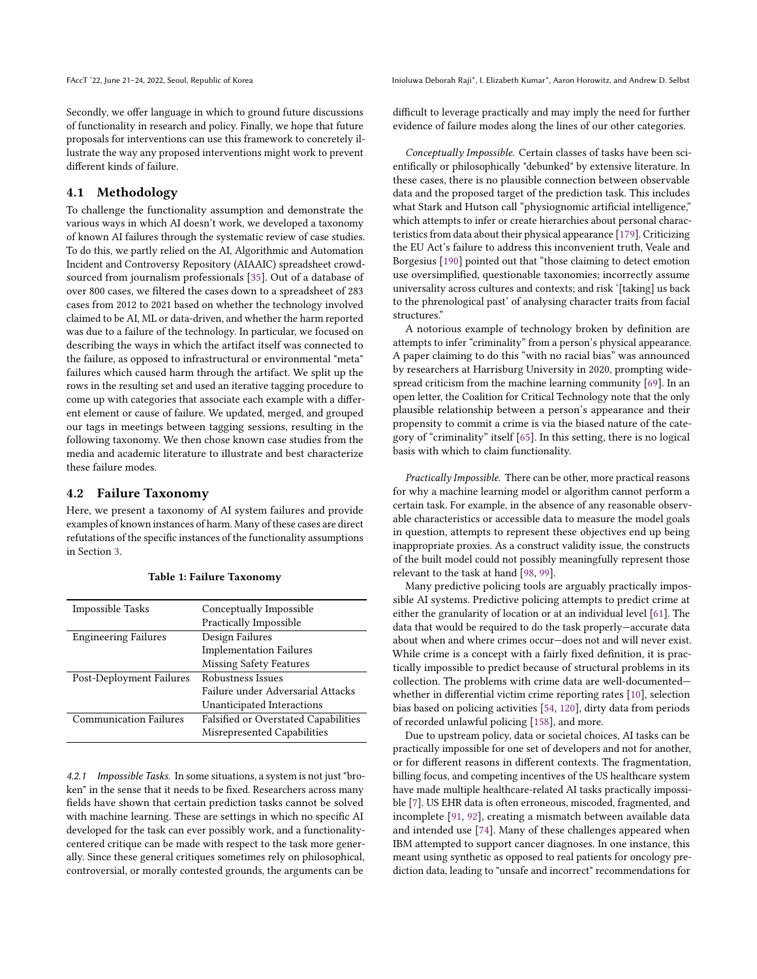Secondly, we offer language in which to ground future discussions of functionality in research and policy. Finally, we hope that future proposals for interventions can use this framework to concretely illustrate the way any proposed interventions might work to prevent different kinds of failure.

#### 4.1 Methodology

To challenge the functionality assumption and demonstrate the various ways in which AI doesn't work, we developed a taxonomy of known AI failures through the systematic review of case studies. To do this, we partly relied on the AI, Algorithmic and Automation Incident and Controversy Repository (AIAAIC) spreadsheet crowdsourced from journalism professionals [\[35\]](#page-10-27). Out of a database of over 800 cases, we filtered the cases down to a spreadsheet of 283 cases from 2012 to 2021 based on whether the technology involved claimed to be AI, ML or data-driven, and whether the harm reported was due to a failure of the technology. In particular, we focused on describing the ways in which the artifact itself was connected to the failure, as opposed to infrastructural or environmental "meta" failures which caused harm through the artifact. We split up the rows in the resulting set and used an iterative tagging procedure to come up with categories that associate each example with a different element or cause of failure. We updated, merged, and grouped our tags in meetings between tagging sessions, resulting in the following taxonomy. We then chose known case studies from the media and academic literature to illustrate and best characterize these failure modes.

#### 4.2 Failure Taxonomy

Here, we present a taxonomy of AI system failures and provide examples of known instances of harm. Many of these cases are direct refutations of the specific instances of the functionality assumptions in Section [3.](#page-1-0)

| Impossible Tasks              | Conceptually Impossible                     |
|-------------------------------|---------------------------------------------|
|                               | Practically Impossible                      |
| <b>Engineering Failures</b>   | Design Failures                             |
|                               | <b>Implementation Failures</b>              |
|                               | <b>Missing Safety Features</b>              |
| Post-Deployment Failures      | Robustness Issues                           |
|                               | Failure under Adversarial Attacks           |
|                               | Unanticipated Interactions                  |
| <b>Communication Failures</b> | <b>Falsified or Overstated Capabilities</b> |
|                               | Misrepresented Capabilities                 |

4.2.1 Impossible Tasks. In some situations, a system is not just "broken" in the sense that it needs to be fixed. Researchers across many fields have shown that certain prediction tasks cannot be solved with machine learning. These are settings in which no specific AI developed for the task can ever possibly work, and a functionalitycentered critique can be made with respect to the task more generally. Since these general critiques sometimes rely on philosophical, controversial, or morally contested grounds, the arguments can be

difficult to leverage practically and may imply the need for further evidence of failure modes along the lines of our other categories.

Conceptually Impossible. Certain classes of tasks have been scientifically or philosophically "debunked" by extensive literature. In these cases, there is no plausible connection between observable data and the proposed target of the prediction task. This includes what Stark and Hutson call "physiognomic artificial intelligence," which attempts to infer or create hierarchies about personal characteristics from data about their physical appearance [\[179\]](#page-12-8). Criticizing the EU Act's failure to address this inconvenient truth, Veale and Borgesius [\[190\]](#page-12-21) pointed out that "those claiming to detect emotion use oversimplified, questionable taxonomies; incorrectly assume universality across cultures and contexts; and risk '[taking] us back to the phrenological past' of analysing character traits from facial structures."

A notorious example of technology broken by definition are attempts to infer "criminality" from a person's physical appearance. A paper claiming to do this "with no racial bias" was announced by researchers at Harrisburg University in 2020, prompting widespread criticism from the machine learning community [\[69\]](#page-10-28). In an open letter, the Coalition for Critical Technology note that the only plausible relationship between a person's appearance and their propensity to commit a crime is via the biased nature of the category of "criminality" itself [\[65\]](#page-10-29). In this setting, there is no logical basis with which to claim functionality.

Practically Impossible. There can be other, more practical reasons for why a machine learning model or algorithm cannot perform a certain task. For example, in the absence of any reasonable observable characteristics or accessible data to measure the model goals in question, attempts to represent these objectives end up being inappropriate proxies. As a construct validity issue, the constructs of the built model could not possibly meaningfully represent those relevant to the task at hand [\[98,](#page-11-28) [99\]](#page-11-29).

Many predictive policing tools are arguably practically impossible AI systems. Predictive policing attempts to predict crime at either the granularity of location or at an individual level [\[61\]](#page-10-30). The data that would be required to do the task properly—accurate data about when and where crimes occur—does not and will never exist. While crime is a concept with a fairly fixed definition, it is practically impossible to predict because of structural problems in its collection. The problems with crime data are well-documented whether in differential victim crime reporting rates [\[10\]](#page-9-17), selection bias based on policing activities [\[54,](#page-10-31) [120\]](#page-11-30), dirty data from periods of recorded unlawful policing [\[158\]](#page-12-24), and more.

Due to upstream policy, data or societal choices, AI tasks can be practically impossible for one set of developers and not for another, or for different reasons in different contexts. The fragmentation, billing focus, and competing incentives of the US healthcare system have made multiple healthcare-related AI tasks practically impossible [\[7\]](#page-9-18). US EHR data is often erroneous, miscoded, fragmented, and incomplete [\[91,](#page-11-31) [92\]](#page-11-32), creating a mismatch between available data and intended use [\[74\]](#page-10-32). Many of these challenges appeared when IBM attempted to support cancer diagnoses. In one instance, this meant using synthetic as opposed to real patients for oncology prediction data, leading to "unsafe and incorrect" recommendations for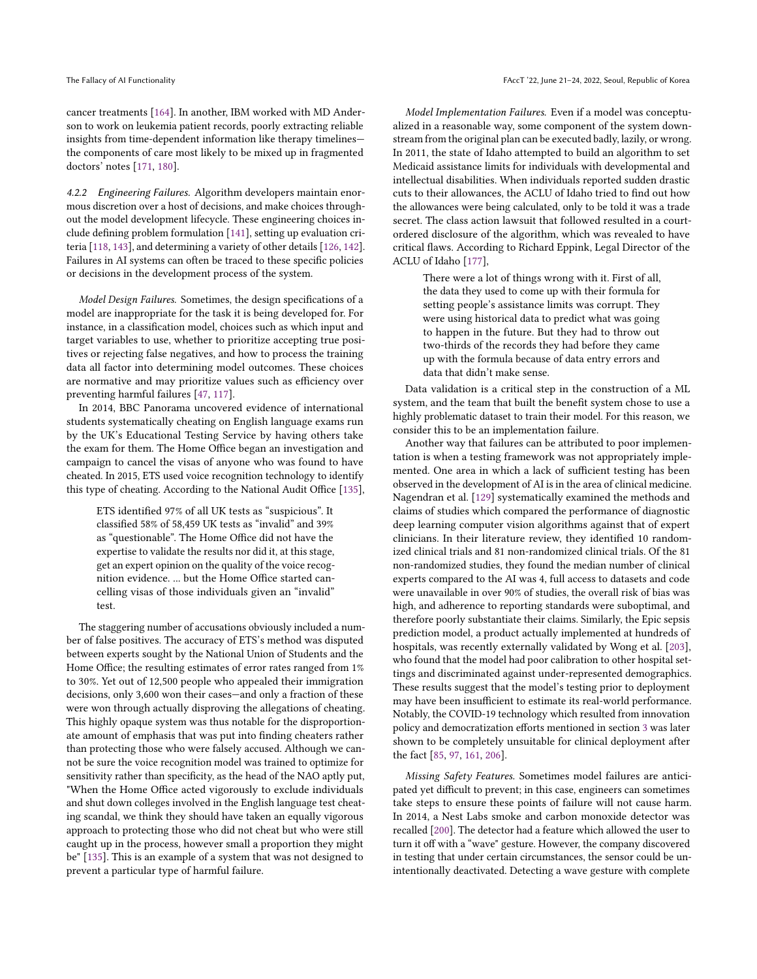cancer treatments [\[164\]](#page-12-25). In another, IBM worked with MD Anderson to work on leukemia patient records, poorly extracting reliable insights from time-dependent information like therapy timelines the components of care most likely to be mixed up in fragmented doctors' notes [\[171,](#page-12-26) [180\]](#page-12-2).

4.2.2 Engineering Failures. Algorithm developers maintain enormous discretion over a host of decisions, and make choices throughout the model development lifecycle. These engineering choices include defining problem formulation [\[141\]](#page-11-33), setting up evaluation criteria [\[118,](#page-11-12) [143\]](#page-11-34), and determining a variety of other details [\[126,](#page-11-35) [142\]](#page-11-36). Failures in AI systems can often be traced to these specific policies or decisions in the development process of the system.

Model Design Failures. Sometimes, the design specifications of a model are inappropriate for the task it is being developed for. For instance, in a classification model, choices such as which input and target variables to use, whether to prioritize accepting true positives or rejecting false negatives, and how to process the training data all factor into determining model outcomes. These choices are normative and may prioritize values such as efficiency over preventing harmful failures [\[47,](#page-10-33) [117\]](#page-11-37).

In 2014, BBC Panorama uncovered evidence of international students systematically cheating on English language exams run by the UK's Educational Testing Service by having others take the exam for them. The Home Office began an investigation and campaign to cancel the visas of anyone who was found to have cheated. In 2015, ETS used voice recognition technology to identify this type of cheating. According to the National Audit Office [\[135\]](#page-11-38),

ETS identified 97% of all UK tests as "suspicious". It classified 58% of 58,459 UK tests as "invalid" and 39% as "questionable". The Home Office did not have the expertise to validate the results nor did it, at this stage, get an expert opinion on the quality of the voice recognition evidence. ... but the Home Office started cancelling visas of those individuals given an "invalid" test.

The staggering number of accusations obviously included a number of false positives. The accuracy of ETS's method was disputed between experts sought by the National Union of Students and the Home Office; the resulting estimates of error rates ranged from 1% to 30%. Yet out of 12,500 people who appealed their immigration decisions, only 3,600 won their cases—and only a fraction of these were won through actually disproving the allegations of cheating. This highly opaque system was thus notable for the disproportionate amount of emphasis that was put into finding cheaters rather than protecting those who were falsely accused. Although we cannot be sure the voice recognition model was trained to optimize for sensitivity rather than specificity, as the head of the NAO aptly put, "When the Home Office acted vigorously to exclude individuals and shut down colleges involved in the English language test cheating scandal, we think they should have taken an equally vigorous approach to protecting those who did not cheat but who were still caught up in the process, however small a proportion they might be" [\[135\]](#page-11-38). This is an example of a system that was not designed to prevent a particular type of harmful failure.

Model Implementation Failures. Even if a model was conceptualized in a reasonable way, some component of the system downstream from the original plan can be executed badly, lazily, or wrong. In 2011, the state of Idaho attempted to build an algorithm to set Medicaid assistance limits for individuals with developmental and intellectual disabilities. When individuals reported sudden drastic cuts to their allowances, the ACLU of Idaho tried to find out how the allowances were being calculated, only to be told it was a trade secret. The class action lawsuit that followed resulted in a courtordered disclosure of the algorithm, which was revealed to have critical flaws. According to Richard Eppink, Legal Director of the ACLU of Idaho [\[177\]](#page-12-27),

> There were a lot of things wrong with it. First of all, the data they used to come up with their formula for setting people's assistance limits was corrupt. They were using historical data to predict what was going to happen in the future. But they had to throw out two-thirds of the records they had before they came up with the formula because of data entry errors and data that didn't make sense.

Data validation is a critical step in the construction of a ML system, and the team that built the benefit system chose to use a highly problematic dataset to train their model. For this reason, we consider this to be an implementation failure.

Another way that failures can be attributed to poor implementation is when a testing framework was not appropriately implemented. One area in which a lack of sufficient testing has been observed in the development of AI is in the area of clinical medicine. Nagendran et al. [\[129\]](#page-11-39) systematically examined the methods and claims of studies which compared the performance of diagnostic deep learning computer vision algorithms against that of expert clinicians. In their literature review, they identified 10 randomized clinical trials and 81 non-randomized clinical trials. Of the 81 non-randomized studies, they found the median number of clinical experts compared to the AI was 4, full access to datasets and code were unavailable in over 90% of studies, the overall risk of bias was high, and adherence to reporting standards were suboptimal, and therefore poorly substantiate their claims. Similarly, the Epic sepsis prediction model, a product actually implemented at hundreds of hospitals, was recently externally validated by Wong et al. [\[203\]](#page-13-1), who found that the model had poor calibration to other hospital settings and discriminated against under-represented demographics. These results suggest that the model's testing prior to deployment may have been insufficient to estimate its real-world performance. Notably, the COVID-19 technology which resulted from innovation policy and democratization efforts mentioned in section [3](#page-1-0) was later shown to be completely unsuitable for clinical deployment after the fact [\[85,](#page-10-16) [97,](#page-11-23) [161,](#page-12-15) [206\]](#page-13-4).

Missing Safety Features. Sometimes model failures are anticipated yet difficult to prevent; in this case, engineers can sometimes take steps to ensure these points of failure will not cause harm. In 2014, a Nest Labs smoke and carbon monoxide detector was recalled [\[200\]](#page-13-7). The detector had a feature which allowed the user to turn it off with a "wave" gesture. However, the company discovered in testing that under certain circumstances, the sensor could be unintentionally deactivated. Detecting a wave gesture with complete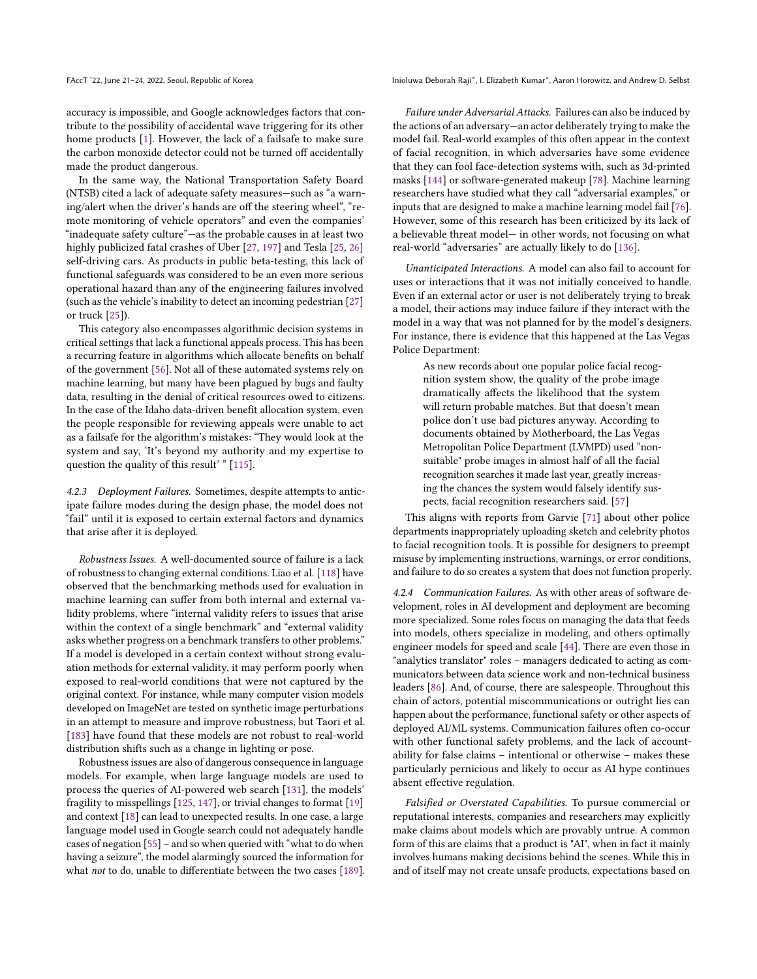accuracy is impossible, and Google acknowledges factors that contribute to the possibility of accidental wave triggering for its other home products [\[1\]](#page-9-19). However, the lack of a failsafe to make sure the carbon monoxide detector could not be turned off accidentally made the product dangerous.

In the same way, the National Transportation Safety Board (NTSB) cited a lack of adequate safety measures—such as "a warning/alert when the driver's hands are off the steering wheel", "remote monitoring of vehicle operators" and even the companies' "inadequate safety culture"—as the probable causes in at least two highly publicized fatal crashes of Uber [\[27,](#page-9-20) [197\]](#page-13-8) and Tesla [\[25,](#page-9-21) [26\]](#page-9-22) self-driving cars. As products in public beta-testing, this lack of functional safeguards was considered to be an even more serious operational hazard than any of the engineering failures involved (such as the vehicle's inability to detect an incoming pedestrian [\[27\]](#page-9-20) or truck [\[25\]](#page-9-21)).

This category also encompasses algorithmic decision systems in critical settings that lack a functional appeals process. This has been a recurring feature in algorithms which allocate benefits on behalf of the government [\[56\]](#page-10-34). Not all of these automated systems rely on machine learning, but many have been plagued by bugs and faulty data, resulting in the denial of critical resources owed to citizens. In the case of the Idaho data-driven benefit allocation system, even the people responsible for reviewing appeals were unable to act as a failsafe for the algorithm's mistakes: "They would look at the system and say, 'It's beyond my authority and my expertise to question the quality of this result' " [\[115\]](#page-11-40).

4.2.3 Deployment Failures. Sometimes, despite attempts to anticipate failure modes during the design phase, the model does not "fail" until it is exposed to certain external factors and dynamics that arise after it is deployed.

Robustness Issues. A well-documented source of failure is a lack of robustness to changing external conditions. Liao et al. [\[118\]](#page-11-12) have observed that the benchmarking methods used for evaluation in machine learning can suffer from both internal and external validity problems, where "internal validity refers to issues that arise within the context of a single benchmark" and "external validity asks whether progress on a benchmark transfers to other problems." If a model is developed in a certain context without strong evaluation methods for external validity, it may perform poorly when exposed to real-world conditions that were not captured by the original context. For instance, while many computer vision models developed on ImageNet are tested on synthetic image perturbations in an attempt to measure and improve robustness, but Taori et al. [\[183\]](#page-12-28) have found that these models are not robust to real-world distribution shifts such as a change in lighting or pose.

Robustness issues are also of dangerous consequence in language models. For example, when large language models are used to process the queries of AI-powered web search [\[131\]](#page-11-41), the models' fragility to misspellings [\[125,](#page-11-42) [147\]](#page-12-29), or trivial changes to format [\[19\]](#page-9-4) and context [\[18\]](#page-9-3) can lead to unexpected results. In one case, a large language model used in Google search could not adequately handle cases of negation [\[55\]](#page-10-18) – and so when queried with "what to do when having a seizure", the model alarmingly sourced the information for what not to do, unable to differentiate between the two cases [\[189\]](#page-12-20).

Failure under Adversarial Attacks. Failures can also be induced by the actions of an adversary—an actor deliberately trying to make the model fail. Real-world examples of this often appear in the context of facial recognition, in which adversaries have some evidence that they can fool face-detection systems with, such as 3d-printed masks [\[144\]](#page-11-43) or software-generated makeup [\[78\]](#page-10-35). Machine learning researchers have studied what they call "adversarial examples," or inputs that are designed to make a machine learning model fail [\[76\]](#page-10-36). However, some of this research has been criticized by its lack of a believable threat model— in other words, not focusing on what real-world "adversaries" are actually likely to do [\[136\]](#page-11-44).

Unanticipated Interactions. A model can also fail to account for uses or interactions that it was not initially conceived to handle. Even if an external actor or user is not deliberately trying to break a model, their actions may induce failure if they interact with the model in a way that was not planned for by the model's designers. For instance, there is evidence that this happened at the Las Vegas Police Department:

> As new records about one popular police facial recognition system show, the quality of the probe image dramatically affects the likelihood that the system will return probable matches. But that doesn't mean police don't use bad pictures anyway. According to documents obtained by Motherboard, the Las Vegas Metropolitan Police Department (LVMPD) used "nonsuitable" probe images in almost half of all the facial recognition searches it made last year, greatly increasing the chances the system would falsely identify suspects, facial recognition researchers said. [\[57\]](#page-10-37)

This aligns with reports from Garvie [\[71\]](#page-10-38) about other police departments inappropriately uploading sketch and celebrity photos to facial recognition tools. It is possible for designers to preempt misuse by implementing instructions, warnings, or error conditions, and failure to do so creates a system that does not function properly.

4.2.4 Communication Failures. As with other areas of software development, roles in AI development and deployment are becoming more specialized. Some roles focus on managing the data that feeds into models, others specialize in modeling, and others optimally engineer models for speed and scale [\[44\]](#page-10-39). There are even those in "analytics translator" roles – managers dedicated to acting as communicators between data science work and non-technical business leaders [\[86\]](#page-10-40). And, of course, there are salespeople. Throughout this chain of actors, potential miscommunications or outright lies can happen about the performance, functional safety or other aspects of deployed AI/ML systems. Communication failures often co-occur with other functional safety problems, and the lack of accountability for false claims – intentional or otherwise – makes these particularly pernicious and likely to occur as AI hype continues absent effective regulation.

Falsified or Overstated Capabilities. To pursue commercial or reputational interests, companies and researchers may explicitly make claims about models which are provably untrue. A common form of this are claims that a product is "AI", when in fact it mainly involves humans making decisions behind the scenes. While this in and of itself may not create unsafe products, expectations based on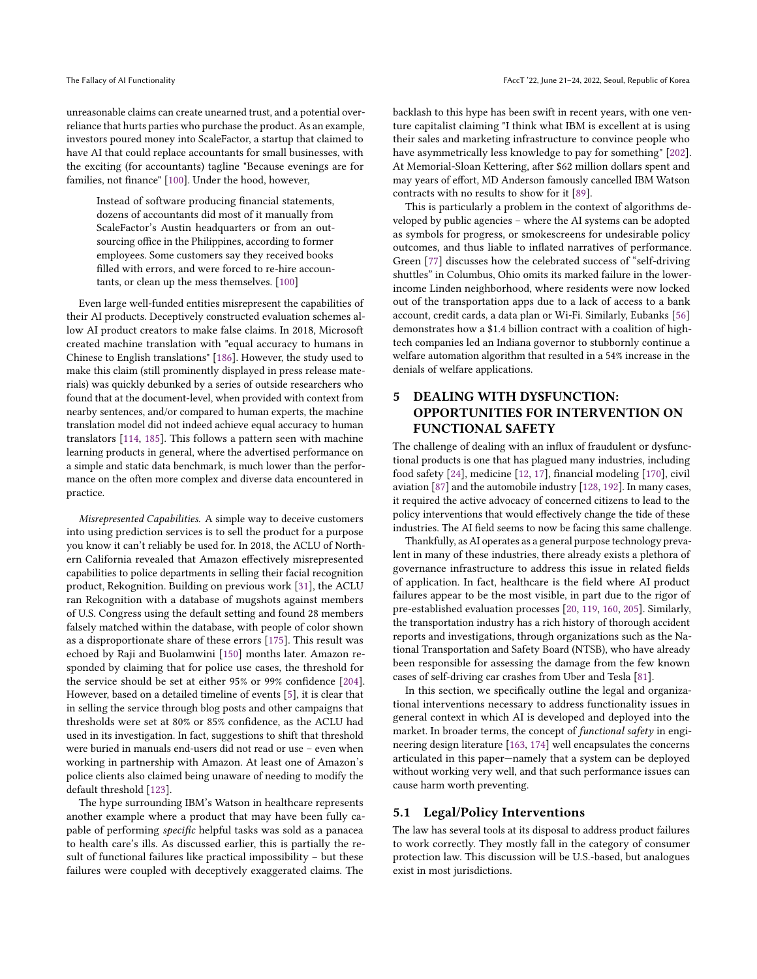unreasonable claims can create unearned trust, and a potential overreliance that hurts parties who purchase the product. As an example, investors poured money into ScaleFactor, a startup that claimed to have AI that could replace accountants for small businesses, with the exciting (for accountants) tagline "Because evenings are for families, not finance" [\[100\]](#page-11-45). Under the hood, however,

Instead of software producing financial statements, dozens of accountants did most of it manually from ScaleFactor's Austin headquarters or from an outsourcing office in the Philippines, according to former employees. Some customers say they received books filled with errors, and were forced to re-hire accountants, or clean up the mess themselves. [\[100\]](#page-11-45)

Even large well-funded entities misrepresent the capabilities of their AI products. Deceptively constructed evaluation schemes allow AI product creators to make false claims. In 2018, Microsoft created machine translation with "equal accuracy to humans in Chinese to English translations" [\[186\]](#page-12-30). However, the study used to make this claim (still prominently displayed in press release materials) was quickly debunked by a series of outside researchers who found that at the document-level, when provided with context from nearby sentences, and/or compared to human experts, the machine translation model did not indeed achieve equal accuracy to human translators [\[114,](#page-11-46) [185\]](#page-12-31). This follows a pattern seen with machine learning products in general, where the advertised performance on a simple and static data benchmark, is much lower than the performance on the often more complex and diverse data encountered in practice.

Misrepresented Capabilities. A simple way to deceive customers into using prediction services is to sell the product for a purpose you know it can't reliably be used for. In 2018, the ACLU of Northern California revealed that Amazon effectively misrepresented capabilities to police departments in selling their facial recognition product, Rekognition. Building on previous work [\[31\]](#page-9-1), the ACLU ran Rekognition with a database of mugshots against members of U.S. Congress using the default setting and found 28 members falsely matched within the database, with people of color shown as a disproportionate share of these errors [\[175\]](#page-12-32). This result was echoed by Raji and Buolamwini [\[150\]](#page-12-33) months later. Amazon responded by claiming that for police use cases, the threshold for the service should be set at either 95% or 99% confidence [\[204\]](#page-13-9). However, based on a detailed timeline of events [\[5\]](#page-9-23), it is clear that in selling the service through blog posts and other campaigns that thresholds were set at 80% or 85% confidence, as the ACLU had used in its investigation. In fact, suggestions to shift that threshold were buried in manuals end-users did not read or use – even when working in partnership with Amazon. At least one of Amazon's police clients also claimed being unaware of needing to modify the default threshold [\[123\]](#page-11-47).

The hype surrounding IBM's Watson in healthcare represents another example where a product that may have been fully capable of performing specific helpful tasks was sold as a panacea to health care's ills. As discussed earlier, this is partially the result of functional failures like practical impossibility – but these failures were coupled with deceptively exaggerated claims. The

backlash to this hype has been swift in recent years, with one venture capitalist claiming "I think what IBM is excellent at is using their sales and marketing infrastructure to convince people who have asymmetrically less knowledge to pay for something" [\[202\]](#page-13-10). At Memorial-Sloan Kettering, after \$62 million dollars spent and may years of effort, MD Anderson famously cancelled IBM Watson contracts with no results to show for it [\[89\]](#page-10-41).

This is particularly a problem in the context of algorithms developed by public agencies – where the AI systems can be adopted as symbols for progress, or smokescreens for undesirable policy outcomes, and thus liable to inflated narratives of performance. Green [\[77\]](#page-10-42) discusses how the celebrated success of "self-driving shuttles" in Columbus, Ohio omits its marked failure in the lowerincome Linden neighborhood, where residents were now locked out of the transportation apps due to a lack of access to a bank account, credit cards, a data plan or Wi-Fi. Similarly, Eubanks [\[56\]](#page-10-34) demonstrates how a \$1.4 billion contract with a coalition of hightech companies led an Indiana governor to stubbornly continue a welfare automation algorithm that resulted in a 54% increase in the denials of welfare applications.

# 5 DEALING WITH DYSFUNCTION: OPPORTUNITIES FOR INTERVENTION ON FUNCTIONAL SAFETY

The challenge of dealing with an influx of fraudulent or dysfunctional products is one that has plagued many industries, including food safety [\[24\]](#page-9-24), medicine [\[12,](#page-9-25) [17\]](#page-9-26), financial modeling [\[170\]](#page-12-34), civil aviation [\[87\]](#page-10-43) and the automobile industry [\[128,](#page-11-48) [192\]](#page-12-35). In many cases, it required the active advocacy of concerned citizens to lead to the policy interventions that would effectively change the tide of these industries. The AI field seems to now be facing this same challenge.

Thankfully, as AI operates as a general purpose technology prevalent in many of these industries, there already exists a plethora of governance infrastructure to address this issue in related fields of application. In fact, healthcare is the field where AI product failures appear to be the most visible, in part due to the rigor of pre-established evaluation processes [\[20,](#page-9-27) [119,](#page-11-49) [160,](#page-12-36) [205\]](#page-13-11). Similarly, the transportation industry has a rich history of thorough accident reports and investigations, through organizations such as the National Transportation and Safety Board (NTSB), who have already been responsible for assessing the damage from the few known cases of self-driving car crashes from Uber and Tesla [\[81\]](#page-10-44).

In this section, we specifically outline the legal and organizational interventions necessary to address functionality issues in general context in which AI is developed and deployed into the market. In broader terms, the concept of functional safety in engineering design literature [\[163,](#page-12-37) [174\]](#page-12-38) well encapsulates the concerns articulated in this paper—namely that a system can be deployed without working very well, and that such performance issues can cause harm worth preventing.

#### 5.1 Legal/Policy Interventions

The law has several tools at its disposal to address product failures to work correctly. They mostly fall in the category of consumer protection law. This discussion will be U.S.-based, but analogues exist in most jurisdictions.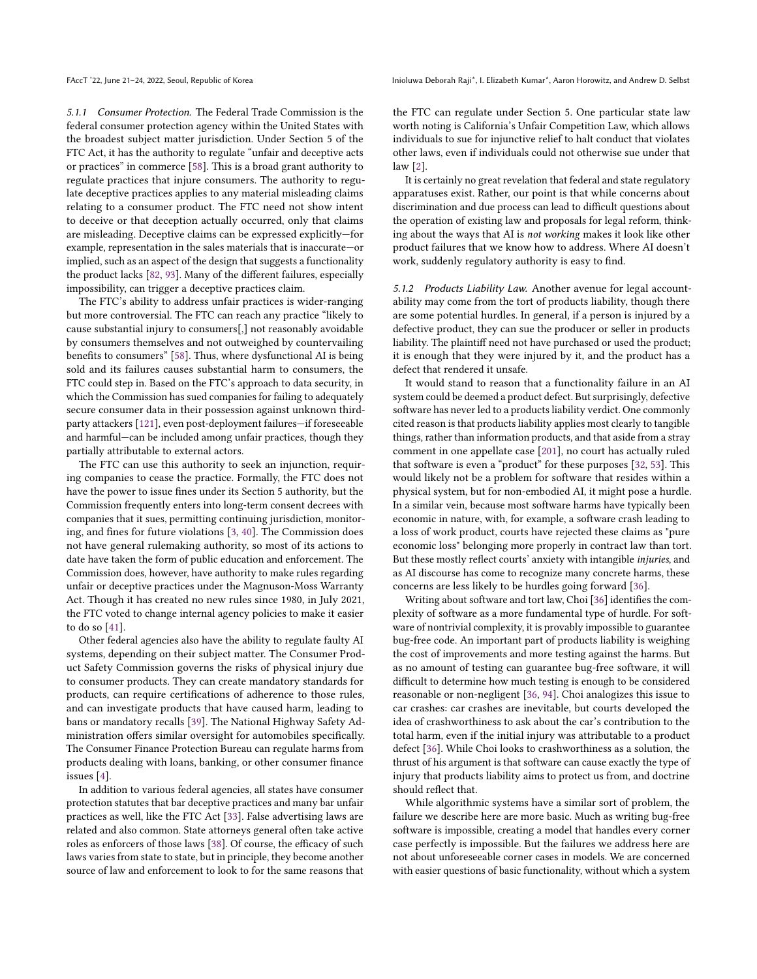5.1.1 Consumer Protection. The Federal Trade Commission is the federal consumer protection agency within the United States with the broadest subject matter jurisdiction. Under Section 5 of the FTC Act, it has the authority to regulate "unfair and deceptive acts or practices" in commerce [\[58\]](#page-10-45). This is a broad grant authority to regulate practices that injure consumers. The authority to regulate deceptive practices applies to any material misleading claims relating to a consumer product. The FTC need not show intent to deceive or that deception actually occurred, only that claims are misleading. Deceptive claims can be expressed explicitly—for example, representation in the sales materials that is inaccurate—or implied, such as an aspect of the design that suggests a functionality the product lacks [\[82,](#page-10-46) [93\]](#page-11-50). Many of the different failures, especially impossibility, can trigger a deceptive practices claim.

The FTC's ability to address unfair practices is wider-ranging but more controversial. The FTC can reach any practice "likely to cause substantial injury to consumers[,] not reasonably avoidable by consumers themselves and not outweighed by countervailing benefits to consumers" [\[58\]](#page-10-45). Thus, where dysfunctional AI is being sold and its failures causes substantial harm to consumers, the FTC could step in. Based on the FTC's approach to data security, in which the Commission has sued companies for failing to adequately secure consumer data in their possession against unknown thirdparty attackers [\[121\]](#page-11-51), even post-deployment failures—if foreseeable and harmful—can be included among unfair practices, though they partially attributable to external actors.

The FTC can use this authority to seek an injunction, requiring companies to cease the practice. Formally, the FTC does not have the power to issue fines under its Section 5 authority, but the Commission frequently enters into long-term consent decrees with companies that it sues, permitting continuing jurisdiction, monitoring, and fines for future violations [\[3,](#page-9-28) [40\]](#page-10-47). The Commission does not have general rulemaking authority, so most of its actions to date have taken the form of public education and enforcement. The Commission does, however, have authority to make rules regarding unfair or deceptive practices under the Magnuson-Moss Warranty Act. Though it has created no new rules since 1980, in July 2021, the FTC voted to change internal agency policies to make it easier to do so [\[41\]](#page-10-48).

Other federal agencies also have the ability to regulate faulty AI systems, depending on their subject matter. The Consumer Product Safety Commission governs the risks of physical injury due to consumer products. They can create mandatory standards for products, can require certifications of adherence to those rules, and can investigate products that have caused harm, leading to bans or mandatory recalls [\[39\]](#page-10-49). The National Highway Safety Administration offers similar oversight for automobiles specifically. The Consumer Finance Protection Bureau can regulate harms from products dealing with loans, banking, or other consumer finance issues [\[4\]](#page-9-29).

In addition to various federal agencies, all states have consumer protection statutes that bar deceptive practices and many bar unfair practices as well, like the FTC Act [\[33\]](#page-9-30). False advertising laws are related and also common. State attorneys general often take active roles as enforcers of those laws [\[38\]](#page-10-50). Of course, the efficacy of such laws varies from state to state, but in principle, they become another source of law and enforcement to look to for the same reasons that

FAccT '22, June 21-24, 2022, Seoul, Republic of Korea Inioluma Deborah Raji\*, I. Elizabeth Kumar\*, Aaron Horowitz, and Andrew D. Selbst

the FTC can regulate under Section 5. One particular state law worth noting is California's Unfair Competition Law, which allows individuals to sue for injunctive relief to halt conduct that violates other laws, even if individuals could not otherwise sue under that law [\[2\]](#page-9-31).

It is certainly no great revelation that federal and state regulatory apparatuses exist. Rather, our point is that while concerns about discrimination and due process can lead to difficult questions about the operation of existing law and proposals for legal reform, thinking about the ways that AI is not working makes it look like other product failures that we know how to address. Where AI doesn't work, suddenly regulatory authority is easy to find.

5.1.2 Products Liability Law. Another avenue for legal accountability may come from the tort of products liability, though there are some potential hurdles. In general, if a person is injured by a defective product, they can sue the producer or seller in products liability. The plaintiff need not have purchased or used the product; it is enough that they were injured by it, and the product has a defect that rendered it unsafe.

It would stand to reason that a functionality failure in an AI system could be deemed a product defect. But surprisingly, defective software has never led to a products liability verdict. One commonly cited reason is that products liability applies most clearly to tangible things, rather than information products, and that aside from a stray comment in one appellate case [\[201\]](#page-13-12), no court has actually ruled that software is even a "product" for these purposes [\[32,](#page-9-32) [53\]](#page-10-51). This would likely not be a problem for software that resides within a physical system, but for non-embodied AI, it might pose a hurdle. In a similar vein, because most software harms have typically been economic in nature, with, for example, a software crash leading to a loss of work product, courts have rejected these claims as "pure economic loss" belonging more properly in contract law than tort. But these mostly reflect courts' anxiety with intangible injuries, and as AI discourse has come to recognize many concrete harms, these concerns are less likely to be hurdles going forward [\[36\]](#page-10-52).

Writing about software and tort law, Choi [\[36\]](#page-10-52) identifies the complexity of software as a more fundamental type of hurdle. For software of nontrivial complexity, it is provably impossible to guarantee bug-free code. An important part of products liability is weighing the cost of improvements and more testing against the harms. But as no amount of testing can guarantee bug-free software, it will difficult to determine how much testing is enough to be considered reasonable or non-negligent [\[36,](#page-10-52) [94\]](#page-11-52). Choi analogizes this issue to car crashes: car crashes are inevitable, but courts developed the idea of crashworthiness to ask about the car's contribution to the total harm, even if the initial injury was attributable to a product defect [\[36\]](#page-10-52). While Choi looks to crashworthiness as a solution, the thrust of his argument is that software can cause exactly the type of injury that products liability aims to protect us from, and doctrine should reflect that.

While algorithmic systems have a similar sort of problem, the failure we describe here are more basic. Much as writing bug-free software is impossible, creating a model that handles every corner case perfectly is impossible. But the failures we address here are not about unforeseeable corner cases in models. We are concerned with easier questions of basic functionality, without which a system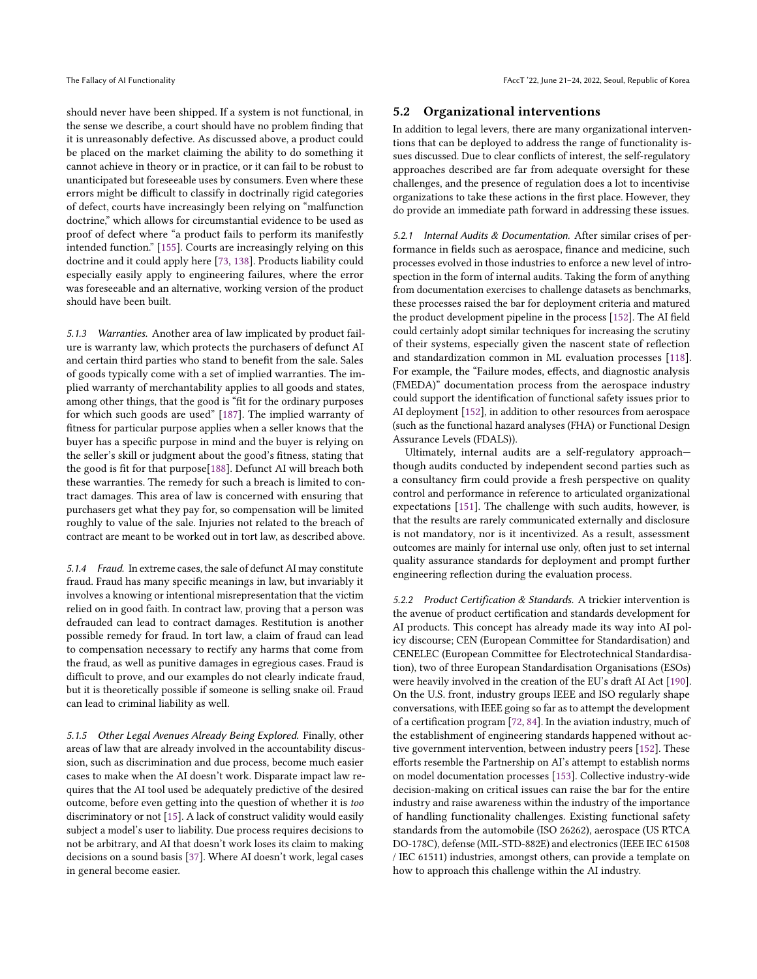should never have been shipped. If a system is not functional, in the sense we describe, a court should have no problem finding that it is unreasonably defective. As discussed above, a product could be placed on the market claiming the ability to do something it cannot achieve in theory or in practice, or it can fail to be robust to unanticipated but foreseeable uses by consumers. Even where these errors might be difficult to classify in doctrinally rigid categories of defect, courts have increasingly been relying on "malfunction doctrine," which allows for circumstantial evidence to be used as proof of defect where "a product fails to perform its manifestly intended function." [\[155\]](#page-12-39). Courts are increasingly relying on this doctrine and it could apply here [\[73,](#page-10-53) [138\]](#page-11-53). Products liability could especially easily apply to engineering failures, where the error was foreseeable and an alternative, working version of the product should have been built.

5.1.3 Warranties. Another area of law implicated by product failure is warranty law, which protects the purchasers of defunct AI and certain third parties who stand to benefit from the sale. Sales of goods typically come with a set of implied warranties. The implied warranty of merchantability applies to all goods and states, among other things, that the good is "fit for the ordinary purposes for which such goods are used" [\[187\]](#page-12-40). The implied warranty of fitness for particular purpose applies when a seller knows that the buyer has a specific purpose in mind and the buyer is relying on the seller's skill or judgment about the good's fitness, stating that the good is fit for that purpose[\[188\]](#page-12-41). Defunct AI will breach both these warranties. The remedy for such a breach is limited to contract damages. This area of law is concerned with ensuring that purchasers get what they pay for, so compensation will be limited roughly to value of the sale. Injuries not related to the breach of contract are meant to be worked out in tort law, as described above.

5.1.4 Fraud. In extreme cases, the sale of defunct AI may constitute fraud. Fraud has many specific meanings in law, but invariably it involves a knowing or intentional misrepresentation that the victim relied on in good faith. In contract law, proving that a person was defrauded can lead to contract damages. Restitution is another possible remedy for fraud. In tort law, a claim of fraud can lead to compensation necessary to rectify any harms that come from the fraud, as well as punitive damages in egregious cases. Fraud is difficult to prove, and our examples do not clearly indicate fraud, but it is theoretically possible if someone is selling snake oil. Fraud can lead to criminal liability as well.

5.1.5 Other Legal Avenues Already Being Explored. Finally, other areas of law that are already involved in the accountability discussion, such as discrimination and due process, become much easier cases to make when the AI doesn't work. Disparate impact law requires that the AI tool used be adequately predictive of the desired outcome, before even getting into the question of whether it is too discriminatory or not [\[15\]](#page-9-14). A lack of construct validity would easily subject a model's user to liability. Due process requires decisions to not be arbitrary, and AI that doesn't work loses its claim to making decisions on a sound basis [\[37\]](#page-10-54). Where AI doesn't work, legal cases in general become easier.

#### 5.2 Organizational interventions

In addition to legal levers, there are many organizational interventions that can be deployed to address the range of functionality issues discussed. Due to clear conflicts of interest, the self-regulatory approaches described are far from adequate oversight for these challenges, and the presence of regulation does a lot to incentivise organizations to take these actions in the first place. However, they do provide an immediate path forward in addressing these issues.

5.2.1 Internal Audits & Documentation. After similar crises of performance in fields such as aerospace, finance and medicine, such processes evolved in those industries to enforce a new level of introspection in the form of internal audits. Taking the form of anything from documentation exercises to challenge datasets as benchmarks, these processes raised the bar for deployment criteria and matured the product development pipeline in the process [\[152\]](#page-12-42). The AI field could certainly adopt similar techniques for increasing the scrutiny of their systems, especially given the nascent state of reflection and standardization common in ML evaluation processes [\[118\]](#page-11-12). For example, the "Failure modes, effects, and diagnostic analysis (FMEDA)" documentation process from the aerospace industry could support the identification of functional safety issues prior to AI deployment [\[152\]](#page-12-42), in addition to other resources from aerospace (such as the functional hazard analyses (FHA) or Functional Design Assurance Levels (FDALS)).

Ultimately, internal audits are a self-regulatory approach though audits conducted by independent second parties such as a consultancy firm could provide a fresh perspective on quality control and performance in reference to articulated organizational expectations [\[151\]](#page-12-43). The challenge with such audits, however, is that the results are rarely communicated externally and disclosure is not mandatory, nor is it incentivized. As a result, assessment outcomes are mainly for internal use only, often just to set internal quality assurance standards for deployment and prompt further engineering reflection during the evaluation process.

5.2.2 Product Certification & Standards. A trickier intervention is the avenue of product certification and standards development for AI products. This concept has already made its way into AI policy discourse; CEN (European Committee for Standardisation) and CENELEC (European Committee for Electrotechnical Standardisation), two of three European Standardisation Organisations (ESOs) were heavily involved in the creation of the EU's draft AI Act [\[190\]](#page-12-21). On the U.S. front, industry groups IEEE and ISO regularly shape conversations, with IEEE going so far as to attempt the development of a certification program [\[72,](#page-10-55) [84\]](#page-10-56). In the aviation industry, much of the establishment of engineering standards happened without active government intervention, between industry peers [\[152\]](#page-12-42). These efforts resemble the Partnership on AI's attempt to establish norms on model documentation processes [\[153\]](#page-12-44). Collective industry-wide decision-making on critical issues can raise the bar for the entire industry and raise awareness within the industry of the importance of handling functionality challenges. Existing functional safety standards from the automobile (ISO 26262), aerospace (US RTCA DO-178C), defense (MIL-STD-882E) and electronics (IEEE IEC 61508 / IEC 61511) industries, amongst others, can provide a template on how to approach this challenge within the AI industry.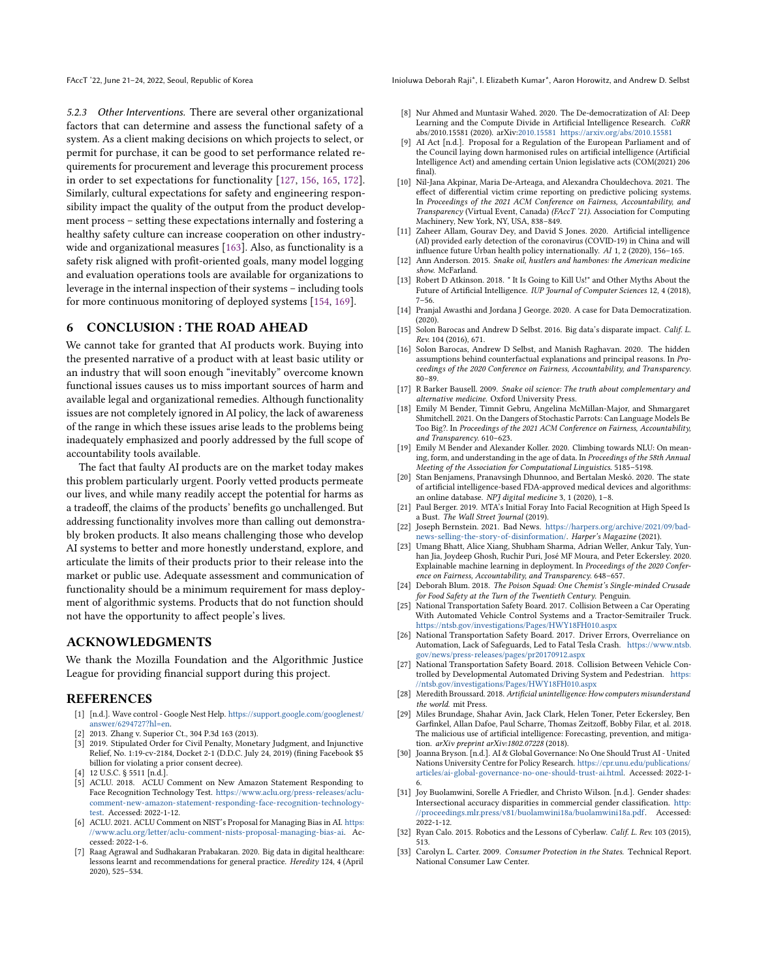5.2.3 Other Interventions. There are several other organizational factors that can determine and assess the functional safety of a system. As a client making decisions on which projects to select, or permit for purchase, it can be good to set performance related requirements for procurement and leverage this procurement process in order to set expectations for functionality [\[127,](#page-11-54) [156,](#page-12-45) [165,](#page-12-46) [172\]](#page-12-47). Similarly, cultural expectations for safety and engineering responsibility impact the quality of the output from the product development process – setting these expectations internally and fostering a healthy safety culture can increase cooperation on other industrywide and organizational measures [\[163\]](#page-12-37). Also, as functionality is a safety risk aligned with profit-oriented goals, many model logging and evaluation operations tools are available for organizations to leverage in the internal inspection of their systems – including tools for more continuous monitoring of deployed systems [\[154,](#page-12-48) [169\]](#page-12-49).

## 6 CONCLUSION : THE ROAD AHEAD

We cannot take for granted that AI products work. Buying into the presented narrative of a product with at least basic utility or an industry that will soon enough "inevitably" overcome known functional issues causes us to miss important sources of harm and available legal and organizational remedies. Although functionality issues are not completely ignored in AI policy, the lack of awareness of the range in which these issues arise leads to the problems being inadequately emphasized and poorly addressed by the full scope of accountability tools available.

The fact that faulty AI products are on the market today makes this problem particularly urgent. Poorly vetted products permeate our lives, and while many readily accept the potential for harms as a tradeoff, the claims of the products' benefits go unchallenged. But addressing functionality involves more than calling out demonstrably broken products. It also means challenging those who develop AI systems to better and more honestly understand, explore, and articulate the limits of their products prior to their release into the market or public use. Adequate assessment and communication of functionality should be a minimum requirement for mass deployment of algorithmic systems. Products that do not function should not have the opportunity to affect people's lives.

#### ACKNOWLEDGMENTS

We thank the Mozilla Foundation and the Algorithmic Justice League for providing financial support during this project.

#### **REFERENCES**

- <span id="page-9-19"></span>[1] [n.d.]. Wave control - Google Nest Help. [https://support.google.com/googlenest/](https://support.google.com/googlenest/answer/6294727?hl=en) [answer/6294727?hl=en.](https://support.google.com/googlenest/answer/6294727?hl=en)
- <span id="page-9-31"></span>2013. Zhang v. Superior Ct., 304 P.3d 163 (2013).
- <span id="page-9-28"></span>2019. Stipulated Order for Civil Penalty, Monetary Judgment, and Injunctive Relief, No. 1:19-cv-2184, Docket 2-1 (D.D.C. July 24, 2019) (fining Facebook \$5 billion for violating a prior consent decree).
- <span id="page-9-29"></span>[4] 12 U.S.C. § 5511 [n.d.].
- <span id="page-9-23"></span>[5] ACLU. 2018. ACLU Comment on New Amazon Statement Responding to Face Recognition Technology Test. [https://www.aclu.org/press-releases/aclu](https://www.aclu.org/press-releases/aclu-comment-new-amazon-statement-responding-face-recognition-technology-test)[comment-new-amazon-statement-responding-face-recognition-technology](https://www.aclu.org/press-releases/aclu-comment-new-amazon-statement-responding-face-recognition-technology-test)[test.](https://www.aclu.org/press-releases/aclu-comment-new-amazon-statement-responding-face-recognition-technology-test) Accessed: 2022-1-12.
- <span id="page-9-6"></span>[6] ACLU. 2021. ACLU Comment on NIST's Proposal for Managing Bias in AI. [https:](https://www.aclu.org/letter/aclu-comment-nists-proposal-managing-bias-ai) [//www.aclu.org/letter/aclu-comment-nists-proposal-managing-bias-ai.](https://www.aclu.org/letter/aclu-comment-nists-proposal-managing-bias-ai) Accessed: 2022-1-6.
- <span id="page-9-18"></span>[7] Raag Agrawal and Sudhakaran Prabakaran. 2020. Big data in digital healthcare: lessons learnt and recommendations for general practice. Heredity 124, 4 (April 2020), 525–534.

FAccT '22, June 21-24, 2022, Seoul, Republic of Korea Inioluma Deborah Raji\*, I. Elizabeth Kumar\*, Aaron Horowitz, and Andrew D. Selbst

- <span id="page-9-9"></span>[8] Nur Ahmed and Muntasir Wahed. 2020. The De-democratization of AI: Deep Learning and the Compute Divide in Artificial Intelligence Research. CoRR abs/2010.15581 (2020). arXiv[:2010.15581](https://arxiv.org/abs/2010.15581) <https://arxiv.org/abs/2010.15581>
- <span id="page-9-13"></span>[9] AI Act [n.d.]. Proposal for a Regulation of the European Parliament and of the Council laying down harmonised rules on artificial intelligence (Artificial Intelligence Act) and amending certain Union legislative acts (COM(2021) 206 final).
- <span id="page-9-17"></span>[10] Nil-Jana Akpinar, Maria De-Arteaga, and Alexandra Chouldechova. 2021. The effect of differential victim crime reporting on predictive policing systems. In Proceedings of the 2021 ACM Conference on Fairness, Accountability, and Transparency (Virtual Event, Canada) (FAccT '21). Association for Computing Machinery, New York, NY, USA, 838–849.
- <span id="page-9-10"></span>[11] Zaheer Allam, Gourav Dey, and David S Jones. 2020. Artificial intelligence (AI) provided early detection of the coronavirus (COVID-19) in China and will influence future Urban health policy internationally. AI 1, 2 (2020), 156–165.
- <span id="page-9-25"></span>[12] Ann Anderson. 2015. Snake oil, hustlers and hambones: the American medicine show. McFarland.
- <span id="page-9-11"></span>[13] Robert D Atkinson. 2018. " It Is Going to Kill Us!" and Other Myths About the Future of Artificial Intelligence. IUP Journal of Computer Sciences 12, 4 (2018),  $7 - 56.$
- <span id="page-9-8"></span>[14] Pranjal Awasthi and Jordana J George. 2020. A case for Data Democratization. (2020).
- <span id="page-9-14"></span>[15] Solon Barocas and Andrew D Selbst. 2016. Big data's disparate impact. Calif. L. Rev. 104 (2016), 671.
- <span id="page-9-16"></span>[16] Solon Barocas, Andrew D Selbst, and Manish Raghavan. 2020. The hidden assumptions behind counterfactual explanations and principal reasons. In Proceedings of the 2020 Conference on Fairness, Accountability, and Transparency. 80–89.
- <span id="page-9-26"></span>[17] R Barker Bausell. 2009. Snake oil science: The truth about complementary and alternative medicine. Oxford University Press.
- <span id="page-9-3"></span>[18] Emily M Bender, Timnit Gebru, Angelina McMillan-Major, and Shmargaret Shmitchell. 2021. On the Dangers of Stochastic Parrots: Can Language Models Be Too Big?. In Proceedings of the 2021 ACM Conference on Fairness, Accountability, and Transparency. 610–623.
- <span id="page-9-4"></span>[19] Emily M Bender and Alexander Koller. 2020. Climbing towards NLU: On meaning, form, and understanding in the age of data. In Proceedings of the 58th Annual Meeting of the Association for Computational Linguistics. 5185-5198.
- <span id="page-9-27"></span>[20] Stan Benjamens, Pranavsingh Dhunnoo, and Bertalan Meskó. 2020. The state of artificial intelligence-based FDA-approved medical devices and algorithms: an online database. NPJ digital medicine 3, 1 (2020), 1–8.
- <span id="page-9-0"></span>[21] Paul Berger. 2019. MTA's Initial Foray Into Facial Recognition at High Speed Is a Bust. The Wall Street Journal (2019).
- <span id="page-9-5"></span>[22] Joseph Bernstein. 2021. Bad News. [https://harpers.org/archive/2021/09/bad](https://harpers.org/archive/2021/09/bad-news-selling-the-story-of-disinformation/)[news-selling-the-story-of-disinformation/.](https://harpers.org/archive/2021/09/bad-news-selling-the-story-of-disinformation/) Harper's Magazine (2021).
- <span id="page-9-15"></span>[23] Umang Bhatt, Alice Xiang, Shubham Sharma, Adrian Weller, Ankur Taly, Yunhan Jia, Joydeep Ghosh, Ruchir Puri, José MF Moura, and Peter Eckersley. 2020. Explainable machine learning in deployment. In Proceedings of the 2020 Conference on Fairness, Accountability, and Transparency. 648–657.
- <span id="page-9-24"></span>[24] Deborah Blum. 2018. The Poison Squad: One Chemist's Single-minded Crusade for Food Safety at the Turn of the Twentieth Century. Penguin.
- <span id="page-9-21"></span>[25] National Transportation Safety Board. 2017. Collision Between a Car Operating With Automated Vehicle Control Systems and a Tractor-Semitrailer Truck. <https://ntsb.gov/investigations/Pages/HWY18FH010.aspx>
- <span id="page-9-22"></span>[26] National Transportation Safety Board. 2017. Driver Errors, Overreliance on Automation, Lack of Safeguards, Led to Fatal Tesla Crash. [https://www.ntsb.](https://www.ntsb.gov/news/press-releases/pages/pr20170912.aspx) [gov/news/press-releases/pages/pr20170912.aspx](https://www.ntsb.gov/news/press-releases/pages/pr20170912.aspx)
- <span id="page-9-20"></span>[27] National Transportation Safety Board. 2018. Collision Between Vehicle Controlled by Developmental Automated Driving System and Pedestrian. [https:](https://ntsb.gov/investigations/Pages/HWY18FH010.aspx) [//ntsb.gov/investigations/Pages/HWY18FH010.aspx](https://ntsb.gov/investigations/Pages/HWY18FH010.aspx)
- <span id="page-9-2"></span>[28] Meredith Broussard. 2018. Artificial unintelligence: How computers misunderstand the world. mit Press.
- <span id="page-9-12"></span>[29] Miles Brundage, Shahar Avin, Jack Clark, Helen Toner, Peter Eckersley, Ben Garfinkel, Allan Dafoe, Paul Scharre, Thomas Zeitzoff, Bobby Filar, et al. 2018. The malicious use of artificial intelligence: Forecasting, prevention, and mitigation. arXiv preprint arXiv:1802.07228 (2018).
- <span id="page-9-7"></span>[30] Joanna Bryson. [n.d.]. AI & Global Governance: No One Should Trust AI - United Nations University Centre for Policy Research. [https://cpr.unu.edu/publications/](https://cpr.unu.edu/publications/articles/ai-global-governance-no-one-should-trust-ai.html) [articles/ai-global-governance-no-one-should-trust-ai.html.](https://cpr.unu.edu/publications/articles/ai-global-governance-no-one-should-trust-ai.html) Accessed: 2022-1-
- <span id="page-9-1"></span>6. [31] Joy Buolamwini, Sorelle A Friedler, and Christo Wilson. [n.d.]. Gender shades: Intersectional accuracy disparities in commercial gender classification. [http:](http://proceedings.mlr.press/v81/buolamwini18a/buolamwini18a.pdf) [//proceedings.mlr.press/v81/buolamwini18a/buolamwini18a.pdf.](http://proceedings.mlr.press/v81/buolamwini18a/buolamwini18a.pdf) Accessed: 2022-1-12.
- <span id="page-9-32"></span>[32] Ryan Calo. 2015. Robotics and the Lessons of Cyberlaw. Calif. L. Rev. 103 (2015), 513.
- <span id="page-9-30"></span>[33] Carolyn L. Carter. 2009. Consumer Protection in the States. Technical Report. National Consumer Law Center.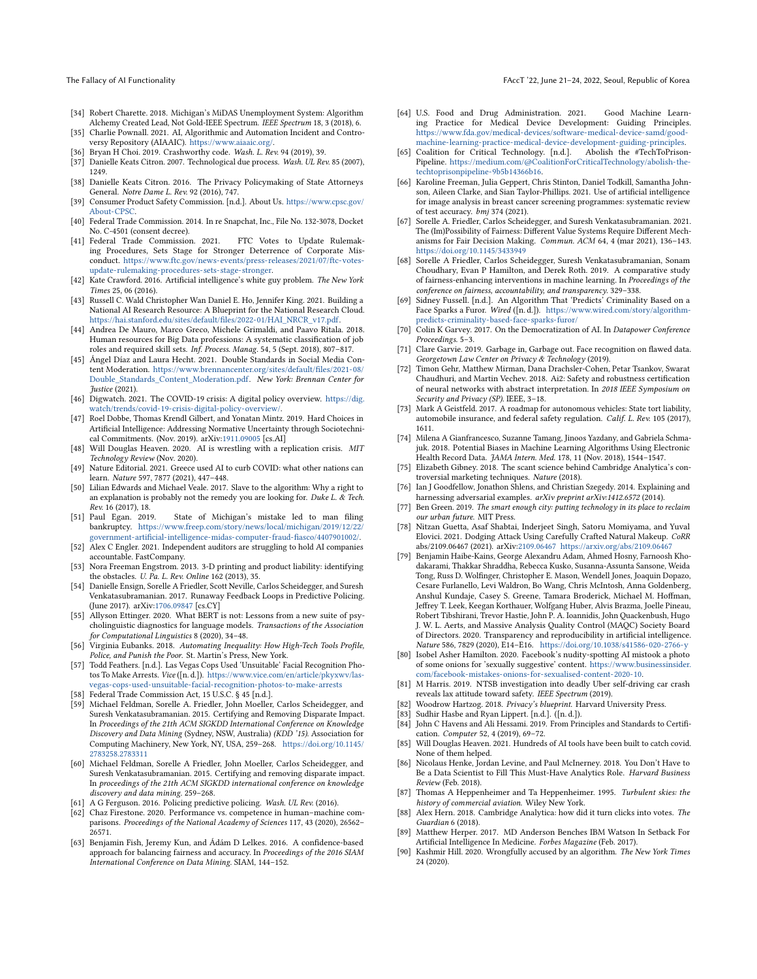- <span id="page-10-0"></span>[34] Robert Charette. 2018. Michigan's MiDAS Unemployment System: Algorithm Alchemy Created Lead, Not Gold-IEEE Spectrum. IEEE Spectrum 18, 3 (2018), 6.
- <span id="page-10-27"></span>[35] Charlie Pownall. 2021. AI, Algorithmic and Automation Incident and Controversy Repository (AIAAIC). [https://www.aiaaic.org/.](https://www.aiaaic.org/)
- <span id="page-10-52"></span>[36] Bryan H Choi. 2019. Crashworthy code. Wash. L. Rev. 94 (2019), 39.
- <span id="page-10-54"></span>[37] Danielle Keats Citron. 2007. Technological due process. Wash. UL Rev. 85 (2007), 1249.
- <span id="page-10-50"></span>[38] Danielle Keats Citron. 2016. The Privacy Policymaking of State Attorneys General. Notre Dame L. Rev. 92 (2016), 747.
- <span id="page-10-49"></span>[39] Consumer Product Safety Commission. [n.d.]. About Us. [https://www.cpsc.gov/](https://www.cpsc.gov/About-CPSC) [About-CPSC.](https://www.cpsc.gov/About-CPSC)
- <span id="page-10-47"></span>[40] Federal Trade Commission. 2014. In re Snapchat, Inc., File No. 132-3078, Docket No. C-4501 (consent decree).
- <span id="page-10-48"></span>[41] Federal Trade Commission. 2021. FTC Votes to Update Rulemaking Procedures, Sets Stage for Stronger Deterrence of Corporate Misconduct. [https://www.ftc.gov/news-events/press-releases/2021/07/ftc-votes](https://www.ftc.gov/news-events/press-releases/2021/07/ftc-votes-update-rulemaking-procedures-sets-stage-stronger)[update-rulemaking-procedures-sets-stage-stronger.](https://www.ftc.gov/news-events/press-releases/2021/07/ftc-votes-update-rulemaking-procedures-sets-stage-stronger)
- <span id="page-10-17"></span>[42] Kate Crawford. 2016. Artificial intelligence's white guy problem. The New York Times 25, 06 (2016).
- <span id="page-10-14"></span>[43] Russell C. Wald Christopher Wan Daniel E. Ho, Jennifer King. 2021. Building a National AI Research Resource: A Blueprint for the National Research Cloud. [https://hai.stanford.edu/sites/default/files/2022-01/HAI\\_NRCR\\_v17.pdf.](https://hai.stanford.edu/sites/default/files/2022-01/HAI_NRCR_v17.pdf)
- <span id="page-10-39"></span>[44] Andrea De Mauro, Marco Greco, Michele Grimaldi, and Paavo Ritala. 2018. Human resources for Big Data professions: A systematic classification of job roles and required skill sets. Inf. Process. Manag. 54, 5 (Sept. 2018), 807–817.
- <span id="page-10-5"></span>[45] Ángel Díaz and Laura Hecht. 2021. Double Standards in Social Media Content Moderation. [https://www.brennancenter.org/sites/default/files/2021-08/](https://www. brennancenter. org/sites/default/files/2021-08/Double_Standards_Content_Moderation. pdf) [Double\\_Standards\\_Content\\_Moderation.pdf.](https://www. brennancenter. org/sites/default/files/2021-08/Double_Standards_Content_Moderation. pdf) New York: Brennan Center for Justice (2021).
- <span id="page-10-15"></span>[46] Digwatch. 2021. The COVID-19 crisis: A digital policy overview. [https://dig.](https://dig.watch/trends/covid-19-crisis-digital-policy-overview/) [watch/trends/covid-19-crisis-digital-policy-overview/.](https://dig.watch/trends/covid-19-crisis-digital-policy-overview/)
- <span id="page-10-33"></span>[47] Roel Dobbe, Thomas Krendl Gilbert, and Yonatan Mintz. 2019. Hard Choices in Artificial Intelligence: Addressing Normative Uncertainty through Sociotechnical Commitments. (Nov. 2019). arXiv[:1911.09005](https://arxiv.org/abs/1911.09005) [cs.AI]
- <span id="page-10-7"></span>[48] Will Douglas Heaven. 2020. AI is wrestling with a replication crisis. MIT Technology Review (Nov. 2020).
- <span id="page-10-13"></span>[49] Nature Editorial. 2021. Greece used AI to curb COVID: what other nations can learn. Nature 597, 7877 (2021), 447–448.
- <span id="page-10-25"></span>[50] Lilian Edwards and Michael Veale. 2017. Slave to the algorithm: Why a right to an explanation is probably not the remedy you are looking for. Duke L. & Tech. Rev. 16 (2017), 18.
- <span id="page-10-1"></span>[51] Paul Egan. 2019. State of Michigan's mistake led to man filing bankruptcy. [https://www.freep.com/story/news/local/michigan/2019/12/22/](https://www.freep.com/story/news/local/michigan/2019/12/22/government-artificial-intelligence-midas-computer-fraud-fiasco/4407901002/) [government-artificial-intelligence-midas-computer-fraud-fiasco/4407901002/.](https://www.freep.com/story/news/local/michigan/2019/12/22/government-artificial-intelligence-midas-computer-fraud-fiasco/4407901002/)
- <span id="page-10-24"></span>[52] Alex C Engler. 2021. Independent auditors are struggling to hold AI companies accountable. FastCompany.
- <span id="page-10-51"></span>[53] Nora Freeman Engstrom. 2013. 3-D printing and product liability: identifying the obstacles. U. Pa. L. Rev. Online 162 (2013), 35.
- <span id="page-10-31"></span>[54] Danielle Ensign, Sorelle A Friedler, Scott Neville, Carlos Scheidegger, and Suresh Venkatasubramanian. 2017. Runaway Feedback Loops in Predictive Policing. (June 2017). arXiv[:1706.09847](https://arxiv.org/abs/1706.09847) [cs.CY]
- <span id="page-10-18"></span>[55] Allyson Ettinger. 2020. What BERT is not: Lessons from a new suite of psycholinguistic diagnostics for language models. Transactions of the Association for Computational Linguistics 8 (2020), 34–48.
- <span id="page-10-34"></span>Virginia Eubanks. 2018. Automating Inequality: How High-Tech Tools Profile, Police, and Punish the Poor. St. Martin's Press, New York.
- <span id="page-10-37"></span>[57] Todd Feathers. [n.d.]. Las Vegas Cops Used 'Unsuitable' Facial Recognition Photos To Make Arrests. Vice ([n. d.]). [https://www.vice.com/en/article/pkyxwv/las](https://www.vice.com/en/article/pkyxwv/las-vegas-cops-used-unsuitable-facial-recognition-photos-to-make-arrests)[vegas-cops-used-unsuitable-facial-recognition-photos-to-make-arrests](https://www.vice.com/en/article/pkyxwv/las-vegas-cops-used-unsuitable-facial-recognition-photos-to-make-arrests)
- <span id="page-10-45"></span>[58] Federal Trade Commission Act, 15 U.S.C. § 45 [n.d.].
- <span id="page-10-19"></span>[59] Michael Feldman, Sorelle A. Friedler, John Moeller, Carlos Scheidegger, and Suresh Venkatasubramanian. 2015. Certifying and Removing Disparate Impact. In Proceedings of the 21th ACM SIGKDD International Conference on Knowledge Discovery and Data Mining (Sydney, NSW, Australia) (KDD '15). Association for Computing Machinery, New York, NY, USA, 259–268. [https://doi.org/10.1145/](https://doi.org/10.1145/2783258.2783311) [2783258.2783311](https://doi.org/10.1145/2783258.2783311)
- <span id="page-10-23"></span>[60] Michael Feldman, Sorelle A Friedler, John Moeller, Carlos Scheidegger, and Suresh Venkatasubramanian. 2015. Certifying and removing disparate impact. In proceedings of the 21th ACM SIGKDD international conference on knowledge discovery and data mining. 259–268.
- <span id="page-10-30"></span>[61] A G Ferguson. 2016. Policing predictive policing. Wash. UL Rev. (2016).
- <span id="page-10-6"></span>[62] Chaz Firestone. 2020. Performance vs. competence in human–machine comparisons. Proceedings of the National Academy of Sciences 117, 43 (2020), 26562-26571.
- <span id="page-10-20"></span>[63] Benjamin Fish, Jeremy Kun, and Ádám D Lelkes. 2016. A confidence-based approach for balancing fairness and accuracy. In Proceedings of the 2016 SIAM International Conference on Data Mining. SIAM, 144–152.
- <span id="page-10-26"></span>[64] U.S. Food and Drug Administration. 2021. Good Machine Learning Practice for Medical Device Development: Guiding Principles. [https://www.fda.gov/medical-devices/software-medical-device-samd/good](https://www.fda.gov/medical-devices/software-medical-device-samd/good-machine-learning-practice-medical-device-development-guiding-principles)[machine-learning-practice-medical-device-development-guiding-principles.](https://www.fda.gov/medical-devices/software-medical-device-samd/good-machine-learning-practice-medical-device-development-guiding-principles)
- <span id="page-10-29"></span>[65] Coalition for Critical Technology. [n.d.]. Pipeline. [https://medium.com/@CoalitionForCriticalTechnology/abolish-the](https://medium.com/@CoalitionForCriticalTechnology/abolish-the-techtoprisonpipeline-9b5b14366b16)[techtoprisonpipeline-9b5b14366b16.](https://medium.com/@CoalitionForCriticalTechnology/abolish-the-techtoprisonpipeline-9b5b14366b16)
- <span id="page-10-4"></span>[66] Karoline Freeman, Julia Geppert, Chris Stinton, Daniel Todkill, Samantha Johnson, Aileen Clarke, and Sian Taylor-Phillips. 2021. Use of artificial intelligence for image analysis in breast cancer screening programmes: systematic review of test accuracy. bmj 374 (2021).
- <span id="page-10-22"></span>[67] Sorelle A. Friedler, Carlos Scheidegger, and Suresh Venkatasubramanian. 2021. The (Im)Possibility of Fairness: Different Value Systems Require Different Mechanisms for Fair Decision Making. Commun. ACM 64, 4 (mar 2021), 136–143. <https://doi.org/10.1145/3433949>
- <span id="page-10-21"></span>[68] Sorelle A Friedler, Carlos Scheidegger, Suresh Venkatasubramanian, Sonam Choudhary, Evan P Hamilton, and Derek Roth. 2019. A comparative study of fairness-enhancing interventions in machine learning. In Proceedings of the conference on fairness, accountability, and transparency. 329–338.
- <span id="page-10-28"></span>[69] Sidney Fussell. [n.d.]. An Algorithm That 'Predicts' Criminality Based on a Face Sparks a Furor. Wired ([n. d.]). [https://www.wired.com/story/algorithm](https://www.wired.com/story/algorithm-predicts-criminality-based-face-sparks-furor/)[predicts-criminality-based-face-sparks-furor/](https://www.wired.com/story/algorithm-predicts-criminality-based-face-sparks-furor/)
- <span id="page-10-11"></span>[70] Colin K Garvey. 2017. On the Democratization of AI. In Datapower Conference Proceedings. 5–3.
- <span id="page-10-38"></span>[71] Clare Garvie. 2019. Garbage in, Garbage out. Face recognition on flawed data. Georgetown Law Center on Privacy & Technology (2019).
- <span id="page-10-55"></span>[72] Timon Gehr, Matthew Mirman, Dana Drachsler-Cohen, Petar Tsankov, Swarat Chaudhuri, and Martin Vechev. 2018. Ai2: Safety and robustness certification of neural networks with abstract interpretation. In 2018 IEEE Symposium on Security and Privacy (SP). IEEE, 3-18.
- <span id="page-10-53"></span>[73] Mark A Geistfeld. 2017. A roadmap for autonomous vehicles: State tort liability, automobile insurance, and federal safety regulation. Calif. L. Rev. 105 (2017), 1611.
- <span id="page-10-32"></span>[74] Milena A Gianfrancesco, Suzanne Tamang, Jinoos Yazdany, and Gabriela Schmajuk. 2018. Potential Biases in Machine Learning Algorithms Using Electronic Health Record Data. *JAMA Intern. Med.* 178, 11 (Nov. 2018), 1544-1547.
- <span id="page-10-9"></span>[75] Elizabeth Gibney. 2018. The scant science behind Cambridge Analytica's controversial marketing techniques. Nature (2018).
- <span id="page-10-36"></span>[76] Ian J Goodfellow, Jonathon Shlens, and Christian Szegedy. 2014. Explaining and harnessing adversarial examples. arXiv preprint arXiv:1412.6572 (2014).
- <span id="page-10-42"></span>[77] Ben Green. 2019. The smart enough city: putting technology in its place to reclaim our urban future. MIT Press.
- <span id="page-10-35"></span>[78] Nitzan Guetta, Asaf Shabtai, Inderjeet Singh, Satoru Momiyama, and Yuval Elovici. 2021. Dodging Attack Using Carefully Crafted Natural Makeup. CoRR abs/2109.06467 (2021). arXiv[:2109.06467](https://arxiv.org/abs/2109.06467) <https://arxiv.org/abs/2109.06467>
- <span id="page-10-8"></span>[79] Benjamin Haibe-Kains, George Alexandru Adam, Ahmed Hosny, Farnoosh Khodakarami, Thakkar Shraddha, Rebecca Kusko, Susanna-Assunta Sansone, Weida Tong, Russ D. Wolfinger, Christopher E. Mason, Wendell Jones, Joaquin Dopazo, Cesare Furlanello, Levi Waldron, Bo Wang, Chris McIntosh, Anna Goldenberg, Anshul Kundaje, Casey S. Greene, Tamara Broderick, Michael M. Hoffman, Jeffrey T. Leek, Keegan Korthauer, Wolfgang Huber, Alvis Brazma, Joelle Pineau, Robert Tibshirani, Trevor Hastie, John P. A. Ioannidis, John Quackenbush, Hugo J. W. L. Aerts, and Massive Analysis Quality Control (MAQC) Society Board of Directors. 2020. Transparency and reproducibility in artificial intelligence. Nature 586, 7829 (2020), E14–E16. <https://doi.org/10.1038/s41586-020-2766-y>
- <span id="page-10-3"></span>[80] Isobel Asher Hamilton. 2020. Facebook's nudity-spotting AI mistook a photo of some onions for 'sexually suggestive' content. [https://www.businessinsider.](https://www.businessinsider.com/facebook-mistakes-onions-for-sexualised-content-2020-10) [com/facebook-mistakes-onions-for-sexualised-content-2020-10.](https://www.businessinsider.com/facebook-mistakes-onions-for-sexualised-content-2020-10)
- <span id="page-10-44"></span>[81] M Harris. 2019. NTSB investigation into deadly Uber self-driving car crash reveals lax attitude toward safety. IEEE Spectrum (2019).
- <span id="page-10-46"></span>[82] Woodrow Hartzog. 2018. Privacy's blueprint. Harvard University Press.
- <span id="page-10-12"></span>[83] Sudhir Hasbe and Ryan Lippert. [n.d.]. ([n. d.]).
- <span id="page-10-56"></span>[84] John C Havens and Ali Hessami. 2019. From Principles and Standards to Certification. Computer 52, 4 (2019), 69–72.
- <span id="page-10-16"></span>[85] Will Douglas Heaven. 2021. Hundreds of AI tools have been built to catch covid. None of them helped.
- <span id="page-10-40"></span>[86] Nicolaus Henke, Jordan Levine, and Paul McInerney. 2018. You Don't Have to Be a Data Scientist to Fill This Must-Have Analytics Role. Harvard Business Review (Feb. 2018).
- <span id="page-10-43"></span>[87] Thomas A Heppenheimer and Ta Heppenheimer. 1995. Turbulent skies: the history of commercial aviation. Wiley New York.
- <span id="page-10-10"></span>[88] Alex Hern. 2018. Cambridge Analytica: how did it turn clicks into votes. The Guardian 6 (2018).
- <span id="page-10-41"></span>[89] Matthew Herper. 2017. MD Anderson Benches IBM Watson In Setback For Artificial Intelligence In Medicine. Forbes Magazine (Feb. 2017).
- <span id="page-10-2"></span>[90] Kashmir Hill. 2020. Wrongfully accused by an algorithm. The New York Times 24 (2020).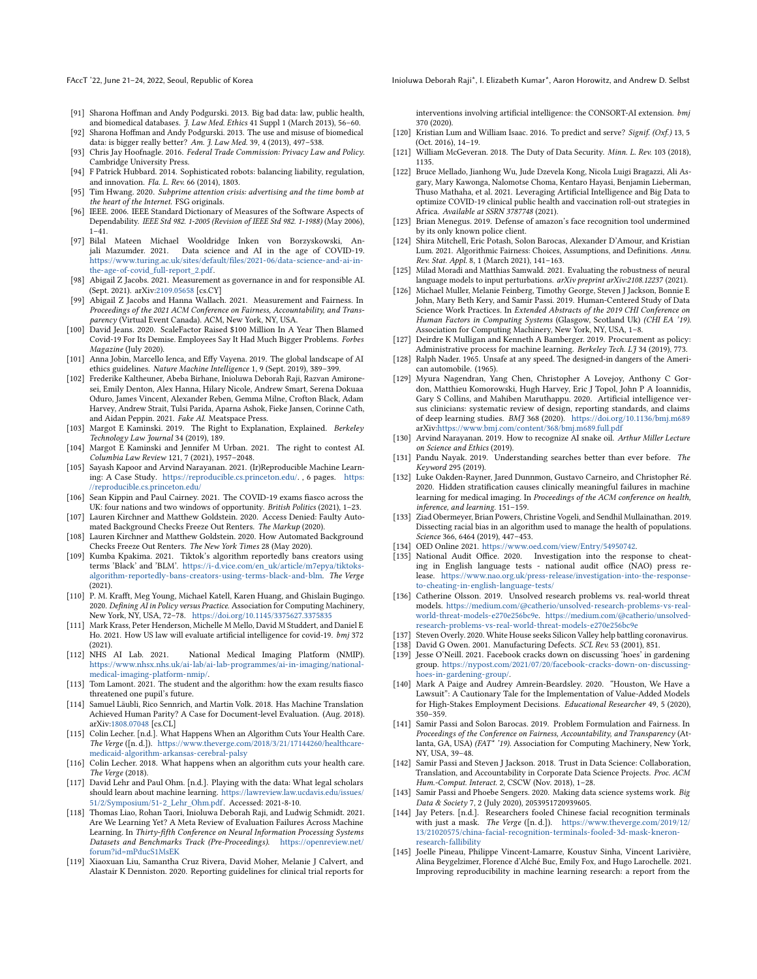- <span id="page-11-31"></span>[91] Sharona Hoffman and Andy Podgurski. 2013. Big bad data: law, public health, and biomedical databases. J. Law Med. Ethics 41 Suppl 1 (March 2013), 56-60.
- <span id="page-11-32"></span>[92] Sharona Hoffman and Andy Podgurski. 2013. The use and misuse of biomedical data: is bigger really better? Am. J. Law Med. 39, 4 (2013), 497–538.
- <span id="page-11-50"></span>[93] Chris Jay Hoofnagle. 2016. Federal Trade Commission: Privacy Law and Policy. Cambridge University Press.
- <span id="page-11-52"></span>[94] F Patrick Hubbard. 2014. Sophisticated robots: balancing liability, regulation, and innovation. Fla. L. Rev. 66 (2014), 1803.
- <span id="page-11-16"></span>[95] Tim Hwang. 2020. Subprime attention crisis: advertising and the time bomb at the heart of the Internet. FSG originals.
- <span id="page-11-18"></span>[96] IEEE. 2006. IEEE Standard Dictionary of Measures of the Software Aspects of Dependability. IEEE Std 982. 1-2005 (Revision of IEEE Std 982. 1-1988) (May 2006),  $1-\overline{41}$ .
- <span id="page-11-23"></span>[97] Bilal Mateen Michael Wooldridge Inken von Borzyskowski, Anjali Mazumder. 2021. Data science and AI in the age of COVID-19. [https://www.turing.ac.uk/sites/default/files/2021-06/data-science-and-ai-in](https://www.turing.ac.uk/sites/default/files/2021-06/data-science-and-ai-in-the-age-of-covid_full-report_2.pdf)[the-age-of-covid\\_full-report\\_2.pdf.](https://www.turing.ac.uk/sites/default/files/2021-06/data-science-and-ai-in-the-age-of-covid_full-report_2.pdf)
- <span id="page-11-28"></span>[98] Abigail Z Jacobs. 2021. Measurement as governance in and for responsible AI. (Sept. 2021). arXiv[:2109.05658](https://arxiv.org/abs/2109.05658) [cs.CY]
- <span id="page-11-29"></span>[99] Abigail Z Jacobs and Hanna Wallach. 2021. Measurement and Fairness. In Proceedings of the 2021 ACM Conference on Fairness, Accountability, and Transparency (Virtual Event Canada). ACM, New York, NY, USA.
- <span id="page-11-45"></span>[100] David Jeans. 2020. ScaleFactor Raised \$100 Million In A Year Then Blamed Covid-19 For Its Demise. Employees Say It Had Much Bigger Problems. Forbes Magazine (July 2020).
- <span id="page-11-17"></span>[101] Anna Jobin, Marcello Ienca, and Effy Vayena. 2019. The global landscape of AI ethics guidelines. Nature Machine Intelligence 1, 9 (Sept. 2019), 389–399.
- <span id="page-11-13"></span>[102] Frederike Kaltheuner, Abeba Birhane, Inioluwa Deborah Raji, Razvan Amironesei, Emily Denton, Alex Hanna, Hilary Nicole, Andrew Smart, Serena Dokuaa Oduro, James Vincent, Alexander Reben, Gemma Milne, Crofton Black, Adam Harvey, Andrew Strait, Tulsi Parida, Aparna Ashok, Fieke Jansen, Corinne Cath, and Aidan Peppin. 2021. Fake AI. Meatspace Press.
- <span id="page-11-25"></span>[103] Margot E Kaminski. 2019. The Right to Explanation, Explained. Berkeley Technology Law Journal 34 (2019), 189.
- <span id="page-11-26"></span>[104] Margot E Kaminski and Jennifer M Urban. 2021. The right to contest AI. Columbia Law Review 121, 7 (2021), 1957–2048.
- <span id="page-11-11"></span>[105] Sayash Kapoor and Arvind Narayanan. 2021. (Ir)Reproducible Machine Learning: A Case Study. [https://reproducible.cs.princeton.edu/.](https://reproducible.cs.princeton.edu/) , 6 pages. [https:](https://reproducible.cs.princeton.edu/) [//reproducible.cs.princeton.edu/](https://reproducible.cs.princeton.edu/)
- <span id="page-11-2"></span>[106] Sean Kippin and Paul Cairney. 2021. The COVID-19 exams fiasco across the UK: four nations and two windows of opportunity. British Politics (2021), 1–23.
- <span id="page-11-0"></span>[107] Lauren Kirchner and Matthew Goldstein. 2020. Access Denied: Faulty Automated Background Checks Freeze Out Renters. The Markup (2020).
- <span id="page-11-1"></span>[108] Lauren Kirchner and Matthew Goldstein. 2020. How Automated Background Checks Freeze Out Renters. The New York Times 28 (May 2020).
- <span id="page-11-5"></span>[109] Kumba Kpakima. 2021. Tiktok's algorithm reportedly bans creators using terms 'Black' and 'BLM'. [https://i-d.vice.com/en\\_uk/article/m7epya/tiktoks](https://i-d.vice.com/en_uk/article/m7epya/tiktoks-algorithm-reportedly-bans-creators-using-terms-black-and-blm)[algorithm-reportedly-bans-creators-using-terms-black-and-blm.](https://i-d.vice.com/en_uk/article/m7epya/tiktoks-algorithm-reportedly-bans-creators-using-terms-black-and-blm) The Verge (2021).
- <span id="page-11-15"></span>[110] P. M. Krafft, Meg Young, Michael Katell, Karen Huang, and Ghislain Bugingo. 2020. Defining AI in Policy versus Practice. Association for Computing Machinery, New York, NY, USA, 72–78. <https://doi.org/10.1145/3375627.3375835>
- <span id="page-11-22"></span>[111] Mark Krass, Peter Henderson, Michelle M Mello, David M Studdert, and Daniel E Ho. 2021. How US law will evaluate artificial intelligence for covid-19. bmj 372  $(2021)$ .<br>[112] NHS AI Lab. 2021.
- <span id="page-11-21"></span>National Medical Imaging Platform (NMIP). [https://www.nhsx.nhs.uk/ai-lab/ai-lab-programmes/ai-in-imaging/national](https://www.nhsx.nhs.uk/ai-lab/ai-lab-programmes/ai-in-imaging/national-medical-imaging-platform-nmip/)[medical-imaging-platform-nmip/.](https://www.nhsx.nhs.uk/ai-lab/ai-lab-programmes/ai-in-imaging/national-medical-imaging-platform-nmip/)
- <span id="page-11-3"></span>[113] Tom Lamont. 2021. The student and the algorithm: how the exam results fiasco threatened one pupil's future.
- <span id="page-11-46"></span>[114] Samuel Läubli, Rico Sennrich, and Martin Volk. 2018. Has Machine Translation Achieved Human Parity? A Case for Document-level Evaluation. (Aug. 2018). arXiv[:1808.07048](https://arxiv.org/abs/1808.07048) [cs.CL]
- <span id="page-11-40"></span>[115] Colin Lecher. [n.d.]. What Happens When an Algorithm Cuts Your Health Care. The Verge ([n. d.]). [https://www.theverge.com/2018/3/21/17144260/healthcare](https://www.theverge.com/2018/3/21/17144260/healthcare-medicaid-algorithm-arkansas-cerebral-palsy)[medicaid-algorithm-arkansas-cerebral-palsy](https://www.theverge.com/2018/3/21/17144260/healthcare-medicaid-algorithm-arkansas-cerebral-palsy)
- <span id="page-11-4"></span>[116] Colin Lecher. 2018. What happens when an algorithm cuts your health care. The Verge (2018).
- <span id="page-11-37"></span>[117] David Lehr and Paul Ohm. [n.d.]. Playing with the data: What legal scholars should learn about machine learning. [https://lawreview.law.ucdavis.edu/issues/](https://lawreview.law.ucdavis.edu/issues/51/2/Symposium/51-2_Lehr_Ohm.pdf) [51/2/Symposium/51-2\\_Lehr\\_Ohm.pdf.](https://lawreview.law.ucdavis.edu/issues/51/2/Symposium/51-2_Lehr_Ohm.pdf) Accessed: 2021-8-10.
- <span id="page-11-12"></span>[118] Thomas Liao, Rohan Taori, Inioluwa Deborah Raji, and Ludwig Schmidt. 2021. Are We Learning Yet? A Meta Review of Evaluation Failures Across Machine Learning. In Thirty-fifth Conference on Neural Information Processing Systems Datasets and Benchmarks Track (Pre-Proceedings). [https://openreview.net/](https://openreview.net/forum?id=mPducS1MsEK) [forum?id=mPducS1MsEK](https://openreview.net/forum?id=mPducS1MsEK)
- <span id="page-11-49"></span>[119] Xiaoxuan Liu, Samantha Cruz Rivera, David Moher, Melanie J Calvert, and Alastair K Denniston. 2020. Reporting guidelines for clinical trial reports for

FAccT '22, June 21-24, 2022, Seoul, Republic of Korea Inioluma Deborah Raji\*, I. Elizabeth Kumar\*, Aaron Horowitz, and Andrew D. Selbst

interventions involving artificial intelligence: the CONSORT-AI extension. bmj 370 (2020).

- <span id="page-11-30"></span>[120] Kristian Lum and William Isaac. 2016. To predict and serve? Signif. (Oxf.) 13, 5 (Oct. 2016), 14–19.
- <span id="page-11-51"></span>[121] William McGeveran. 2018. The Duty of Data Security. Minn. L. Rev. 103 (2018), 1135.
- <span id="page-11-19"></span>[122] Bruce Mellado, Jianhong Wu, Jude Dzevela Kong, Nicola Luigi Bragazzi, Ali Asgary, Mary Kawonga, Nalomotse Choma, Kentaro Hayasi, Benjamin Lieberman, Thuso Mathaha, et al. 2021. Leveraging Artificial Intelligence and Big Data to optimize COVID-19 clinical public health and vaccination roll-out strategies in Africa. Available at SSRN 3787748 (2021).
- <span id="page-11-47"></span>[123] Brian Menegus. 2019. Defense of amazon's face recognition tool undermined by its only known police client.
- <span id="page-11-24"></span>[124] Shira Mitchell, Eric Potash, Solon Barocas, Alexander D'Amour, and Kristian Lum. 2021. Algorithmic Fairness: Choices, Assumptions, and Definitions. Annu. Rev. Stat. Appl. 8, 1 (March 2021), 141–163.
- <span id="page-11-42"></span>[125] Milad Moradi and Matthias Samwald. 2021. Evaluating the robustness of neural language models to input perturbations. arXiv preprint arXiv:2108.12237 (2021).
- <span id="page-11-35"></span>[126] Michael Muller, Melanie Feinberg, Timothy George, Steven J Jackson, Bonnie E John, Mary Beth Kery, and Samir Passi. 2019. Human-Centered Study of Data Science Work Practices. In Extended Abstracts of the 2019 CHI Conference on Human Factors in Computing Systems (Glasgow, Scotland Uk) (CHI EA '19). Association for Computing Machinery, New York, NY, USA, 1–8.
- <span id="page-11-54"></span>[127] Deirdre K Mulligan and Kenneth A Bamberger. 2019. Procurement as policy: Administrative process for machine learning. Berkeley Tech. LJ 34 (2019), 773.
- <span id="page-11-48"></span>[128] Ralph Nader. 1965. Unsafe at any speed. The designed-in dangers of the American automobile. (1965).
- <span id="page-11-39"></span>[129] Myura Nagendran, Yang Chen, Christopher A Lovejoy, Anthony C Gordon, Matthieu Komorowski, Hugh Harvey, Eric J Topol, John P A Ioannidis, Gary S Collins, and Mahiben Maruthappu. 2020. Artificial intelligence versus clinicians: systematic review of design, reporting standards, and claims of deep learning studies. BMJ 368 (2020). <https://doi.org/10.1136/bmj.m689> arXiv[:https://www.bmj.com/content/368/bmj.m689.full.pdf](https://arxiv.org/abs/https://www.bmj.com/content/368/bmj.m689.full.pdf)
- <span id="page-11-14"></span>[130] Arvind Narayanan. 2019. How to recognize AI snake oil. Arthur Miller Lecture on Science and Ethics (2019).
- <span id="page-11-41"></span>[131] Pandu Nayak. 2019. Understanding searches better than ever before. The Keyword 295 (2019).
- <span id="page-11-9"></span>[132] Luke Oakden-Rayner, Jared Dunnmon, Gustavo Carneiro, and Christopher Ré. 2020. Hidden stratification causes clinically meaningful failures in machine learning for medical imaging. In Proceedings of the ACM conference on health, inference, and learning. 151–159.
- <span id="page-11-8"></span>[133] Ziad Obermeyer, Brian Powers, Christine Vogeli, and Sendhil Mullainathan. 2019. Dissecting racial bias in an algorithm used to manage the health of populations. Science 366, 6464 (2019), 447–453.
- <span id="page-11-27"></span>[134] OED Online 2021. [https://www.oed.com/view/Entry/54950742.](https://www.oed.com/view/Entry/54950742)
- <span id="page-11-38"></span>[135] National Audit Office. 2020. Investigation into the response to cheating in English language tests - national audit office (NAO) press release. [https://www.nao.org.uk/press-release/investigation-into-the-response](https://www.nao.org.uk/press-release/investigation-into-the-response-to-cheating-in-english-language-tests/)[to-cheating-in-english-language-tests/](https://www.nao.org.uk/press-release/investigation-into-the-response-to-cheating-in-english-language-tests/)
- <span id="page-11-44"></span>[136] Catherine Olsson. 2019. Unsolved research problems vs. real-world threat models. [https://medium.com/@catherio/unsolved-research-problems-vs-real](https://medium.com/@catherio/unsolved-research-problems-vs-real-world-threat-models-e270e256bc9e)[world-threat-models-e270e256bc9e.](https://medium.com/@catherio/unsolved-research-problems-vs-real-world-threat-models-e270e256bc9e) [https://medium.com/@catherio/unsolved](https://medium.com/@catherio/unsolved-research-problems-vs-real-world-threat-models-e270e256bc9e)[research-problems-vs-real-world-threat-models-e270e256bc9e](https://medium.com/@catherio/unsolved-research-problems-vs-real-world-threat-models-e270e256bc9e)
- <span id="page-11-20"></span>[137] Steven Overly. 2020. White House seeks Silicon Valley help battling coronavirus.
- <span id="page-11-53"></span>[138] David G Owen. 2001. Manufacturing Defects. SCL Rev. 53 (2001), 851.
- <span id="page-11-6"></span>[139] Jesse O'Neill. 2021. Facebook cracks down on discussing 'hoes' in gardening group. [https://nypost.com/2021/07/20/facebook-cracks-down-on-discussing](https://nypost.com/2021/07/20/facebook-cracks-down-on-discussing-hoes-in-gardening-group/)[hoes-in-gardening-group/.](https://nypost.com/2021/07/20/facebook-cracks-down-on-discussing-hoes-in-gardening-group/)
- <span id="page-11-7"></span>[140] Mark A Paige and Audrey Amrein-Beardsley. 2020. "Houston, We Have a Lawsuit": A Cautionary Tale for the Implementation of Value-Added Models for High-Stakes Employment Decisions. Educational Researcher 49, 5 (2020), 350–359.
- <span id="page-11-33"></span>[141] Samir Passi and Solon Barocas. 2019. Problem Formulation and Fairness. In Proceedings of the Conference on Fairness, Accountability, and Transparency (Atlanta, GA, USA) (FAT\* '19). Association for Computing Machinery, New York, NY, USA, 39–48.
- <span id="page-11-36"></span>[142] Samir Passi and Steven J Jackson. 2018. Trust in Data Science: Collaboration, Translation, and Accountability in Corporate Data Science Projects. Proc. ACM Hum.-Comput. Interact. 2, CSCW (Nov. 2018), 1–28.
- <span id="page-11-34"></span>[143] Samir Passi and Phoebe Sengers. 2020. Making data science systems work. Big Data & Society 7, 2 (July 2020), 2053951720939605.
- <span id="page-11-43"></span>[144] Jay Peters. [n.d.]. Researchers fooled Chinese facial recognition terminals with just a mask. The Verge ([n. d.]). [https://www.theverge.com/2019/12/](https://www.theverge.com/2019/12/13/21020575/china-facial-recognition-terminals-fooled-3d-mask-kneron-research-fallibility) [13/21020575/china-facial-recognition-terminals-fooled-3d-mask-kneron](https://www.theverge.com/2019/12/13/21020575/china-facial-recognition-terminals-fooled-3d-mask-kneron-research-fallibility)[research-fallibility](https://www.theverge.com/2019/12/13/21020575/china-facial-recognition-terminals-fooled-3d-mask-kneron-research-fallibility)
- <span id="page-11-10"></span>[145] Joelle Pineau, Philippe Vincent-Lamarre, Koustuv Sinha, Vincent Larivière, Alina Beygelzimer, Florence d'Alché Buc, Emily Fox, and Hugo Larochelle. 2021. Improving reproducibility in machine learning research: a report from the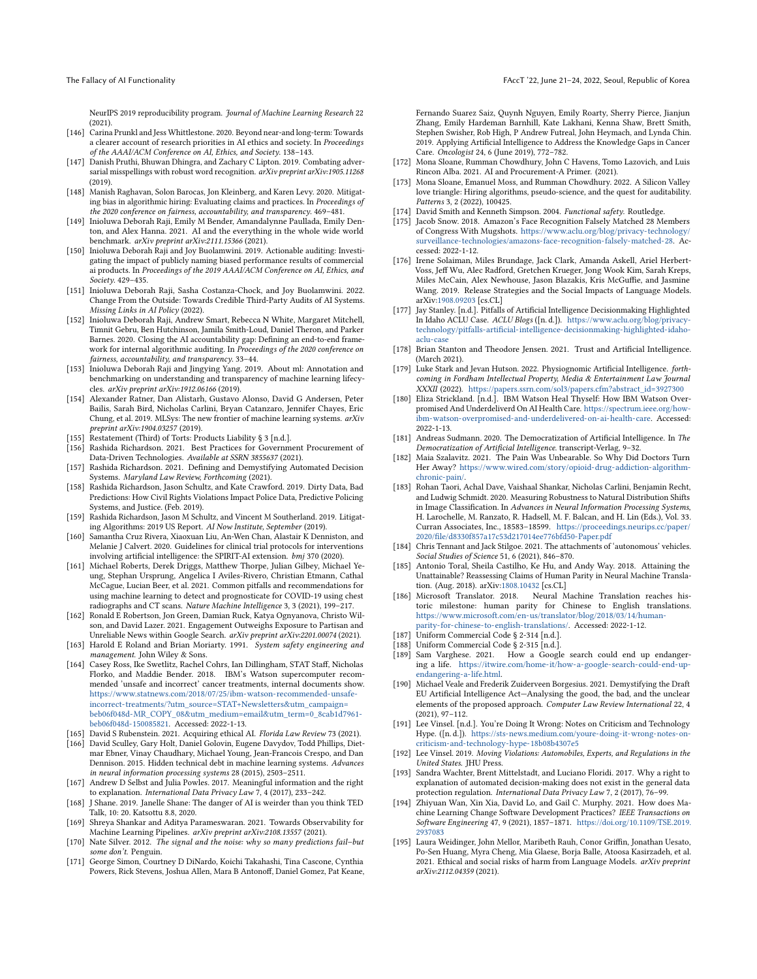NeurIPS 2019 reproducibility program. Journal of Machine Learning Research 22 (2021).

- <span id="page-12-16"></span>[146] Carina Prunkl and Jess Whittlestone. 2020. Beyond near-and long-term: Towards a clearer account of research priorities in AI ethics and society. In Proceedings of the AAAI/ACM Conference on AI, Ethics, and Society. 138–143.
- <span id="page-12-29"></span>[147] Danish Pruthi, Bhuwan Dhingra, and Zachary C Lipton. 2019. Combating adversarial misspellings with robust word recognition. arXiv preprint arXiv:1905.11268 (2019).
- <span id="page-12-6"></span>[148] Manish Raghavan, Solon Barocas, Jon Kleinberg, and Karen Levy. 2020. Mitigating bias in algorithmic hiring: Evaluating claims and practices. In Proceedings of the 2020 conference on fairness, accountability, and transparency. 469–481.
- <span id="page-12-3"></span>[149] Inioluwa Deborah Raji, Emily M Bender, Amandalynne Paullada, Emily Denton, and Alex Hanna. 2021. AI and the everything in the whole wide world benchmark. arXiv preprint arXiv:2111.15366 (2021).
- <span id="page-12-33"></span>[150] Inioluwa Deborah Raji and Joy Buolamwini. 2019. Actionable auditing: Investigating the impact of publicly naming biased performance results of commercial ai products. In Proceedings of the 2019 AAAI/ACM Conference on AI, Ethics, and Society. 429–435.
- <span id="page-12-43"></span>[151] Inioluwa Deborah Raji, Sasha Costanza-Chock, and Joy Buolamwini. 2022. Change From the Outside: Towards Credible Third-Party Audits of AI Systems. Missing Links in AI Policy (2022).
- <span id="page-12-42"></span>[152] Inioluwa Deborah Raji, Andrew Smart, Rebecca N White, Margaret Mitchell, Timnit Gebru, Ben Hutchinson, Jamila Smith-Loud, Daniel Theron, and Parker Barnes. 2020. Closing the AI accountability gap: Defining an end-to-end framework for internal algorithmic auditing. In Proceedings of the 2020 conference on fairness, accountability, and transparency. 33–44.
- <span id="page-12-44"></span>[153] Inioluwa Deborah Raji and Jingying Yang. 2019. About ml: Annotation and benchmarking on understanding and transparency of machine learning lifecycles. arXiv preprint arXiv:1912.06166 (2019).
- <span id="page-12-48"></span>[154] Alexander Ratner, Dan Alistarh, Gustavo Alonso, David G Andersen, Peter Bailis, Sarah Bird, Nicholas Carlini, Bryan Catanzaro, Jennifer Chayes, Eric Chung, et al. 2019. MLSys: The new frontier of machine learning systems. arXiv preprint arXiv:1904.03257 (2019).
- <span id="page-12-39"></span>[155] Restatement (Third) of Torts: Products Liability § 3 [n.d.].
- <span id="page-12-45"></span>[156] Rashida Richardson. 2021. Best Practices for Government Procurement of Data-Driven Technologies. Available at SSRN 3855637 (2021).
- <span id="page-12-10"></span>[157] Rashida Richardson. 2021. Defining and Demystifying Automated Decision Systems. Maryland Law Review, Forthcoming (2021).
- <span id="page-12-24"></span>[158] Rashida Richardson, Jason Schultz, and Kate Crawford. 2019. Dirty Data, Bad Predictions: How Civil Rights Violations Impact Police Data, Predictive Policing Systems, and Justice. (Feb. 2019).
- <span id="page-12-0"></span>[159] Rashida Richardson, Jason M Schultz, and Vincent M Southerland. 2019. Litigating Algorithms: 2019 US Report. AI Now Institute, September (2019).
- <span id="page-12-36"></span>[160] Samantha Cruz Rivera, Xiaoxuan Liu, An-Wen Chan, Alastair K Denniston, and Melanie J Calvert. 2020. Guidelines for clinical trial protocols for interventions involving artificial intelligence: the SPIRIT-AI extension. bmj 370 (2020).
- <span id="page-12-15"></span>[161] Michael Roberts, Derek Driggs, Matthew Thorpe, Julian Gilbey, Michael Yeung, Stephan Ursprung, Angelica I Aviles-Rivero, Christian Etmann, Cathal McCague, Lucian Beer, et al. 2021. Common pitfalls and recommendations for using machine learning to detect and prognosticate for COVID-19 using chest radiographs and CT scans. Nature Machine Intelligence 3, 3 (2021), 199–217.
- <span id="page-12-12"></span>[162] Ronald E Robertson, Jon Green, Damian Ruck, Katya Ognyanova, Christo Wilson, and David Lazer. 2021. Engagement Outweighs Exposure to Partisan and Unreliable News within Google Search. arXiv preprint arXiv:2201.00074 (2021).
- <span id="page-12-37"></span>[163] Harold E Roland and Brian Moriarty. 1991. System safety engineering and management. John Wiley & Sons.
- <span id="page-12-25"></span>[164] Casey Ross, Ike Swetlitz, Rachel Cohrs, Ian Dillingham, STAT Staff, Nicholas Florko, and Maddie Bender. 2018. IBM's Watson supercomputer recommended 'unsafe and incorrect' cancer treatments, internal documents show. [https://www.statnews.com/2018/07/25/ibm-watson-recommended-unsafe](https://www.statnews.com/2018/07/25/ibm-watson-recommended-unsafe-incorrect-treatments/?utm_source=STAT+Newsletters&utm_campaign=beb06f048d-MR_COPY_08&utm_medium=email&utm_term=0_8cab1d7961-beb06f048d-150085821)[incorrect-treatments/?utm\\_source=STAT+Newsletters&utm\\_campaign=](https://www.statnews.com/2018/07/25/ibm-watson-recommended-unsafe-incorrect-treatments/?utm_source=STAT+Newsletters&utm_campaign=beb06f048d-MR_COPY_08&utm_medium=email&utm_term=0_8cab1d7961-beb06f048d-150085821) [beb06f048d-MR\\_COPY\\_08&utm\\_medium=email&utm\\_term=0\\_8cab1d7961](https://www.statnews.com/2018/07/25/ibm-watson-recommended-unsafe-incorrect-treatments/?utm_source=STAT+Newsletters&utm_campaign=beb06f048d-MR_COPY_08&utm_medium=email&utm_term=0_8cab1d7961-beb06f048d-150085821) [beb06f048d-150085821.](https://www.statnews.com/2018/07/25/ibm-watson-recommended-unsafe-incorrect-treatments/?utm_source=STAT+Newsletters&utm_campaign=beb06f048d-MR_COPY_08&utm_medium=email&utm_term=0_8cab1d7961-beb06f048d-150085821) Accessed: 2022-1-13.
- <span id="page-12-46"></span>[165] David S Rubenstein. 2021. Acquiring ethical AI. Florida Law Review 73 (2021).
- <span id="page-12-5"></span>[166] David Sculley, Gary Holt, Daniel Golovin, Eugene Davydov, Todd Phillips, Dietmar Ebner, Vinay Chaudhary, Michael Young, Jean-Francois Crespo, and Dan Dennison. 2015. Hidden technical debt in machine learning systems. Advances in neural information processing systems 28 (2015), 2503–2511.
- <span id="page-12-22"></span>[167] Andrew D Selbst and Julia Powles. 2017. Meaningful information and the right to explanation. International Data Privacy Law 7, 4 (2017), 233–242.
- <span id="page-12-17"></span>[168] J Shane. 2019. Janelle Shane: The danger of AI is weirder than you think TED Talk, 10: 20. Katsottu 8.8, 2020.
- <span id="page-12-49"></span>[169] Shreya Shankar and Aditya Parameswaran. 2021. Towards Observability for Machine Learning Pipelines. arXiv preprint arXiv:2108.13557 (2021).
- <span id="page-12-34"></span>[170] Nate Silver. 2012. The signal and the noise: why so many predictions fail–but some don't. Penguin.
- <span id="page-12-26"></span>[171] George Simon, Courtney D DiNardo, Koichi Takahashi, Tina Cascone, Cynthia Powers, Rick Stevens, Joshua Allen, Mara B Antonoff, Daniel Gomez, Pat Keane,

Fernando Suarez Saiz, Quynh Nguyen, Emily Roarty, Sherry Pierce, Jianjun Zhang, Emily Hardeman Barnhill, Kate Lakhani, Kenna Shaw, Brett Smith, Stephen Swisher, Rob High, P Andrew Futreal, John Heymach, and Lynda Chin. 2019. Applying Artificial Intelligence to Address the Knowledge Gaps in Cancer Care. Oncologist 24, 6 (June 2019), 772–782.

- <span id="page-12-47"></span>[172] Mona Sloane, Rumman Chowdhury, John C Havens, Tomo Lazovich, and Luis Rincon Alba. 2021. AI and Procurement-A Primer. (2021).
- <span id="page-12-7"></span>[173] Mona Sloane, Emanuel Moss, and Rumman Chowdhury. 2022. A Silicon Valley love triangle: Hiring algorithms, pseudo-science, and the quest for auditability. Patterns 3, 2 (2022), 100425.
- <span id="page-12-38"></span>[174] David Smith and Kenneth Simpson. 2004. Functional safety. Routledge.
- <span id="page-12-32"></span>[175] Jacob Snow. 2018. Amazon's Face Recognition Falsely Matched 28 Members of Congress With Mugshots. [https://www.aclu.org/blog/privacy-technology/](https://www.aclu.org/blog/privacy-technology/surveillance-technologies/amazons-face-recognition-falsely-matched-28) [surveillance-technologies/amazons-face-recognition-falsely-matched-28.](https://www.aclu.org/blog/privacy-technology/surveillance-technologies/amazons-face-recognition-falsely-matched-28) Accessed: 2022-1-12.
- <span id="page-12-18"></span>[176] Irene Solaiman, Miles Brundage, Jack Clark, Amanda Askell, Ariel Herbert-Voss, Jeff Wu, Alec Radford, Gretchen Krueger, Jong Wook Kim, Sarah Kreps, Miles McCain, Alex Newhouse, Jason Blazakis, Kris McGuffie, and Jasmine Wang. 2019. Release Strategies and the Social Impacts of Language Models. arXiv[:1908.09203](https://arxiv.org/abs/1908.09203) [cs.CL]
- <span id="page-12-27"></span>[177] Jay Stanley. [n.d.]. Pitfalls of Artificial Intelligence Decisionmaking Highlighted In Idaho ACLU Case. ACLU Blogs ([n. d.]). [https://www.aclu.org/blog/privacy](https://www.aclu.org/blog/privacy-technology/pitfalls-artificial-intelligence-decisionmaking-highlighted-idaho-aclu-case)[technology/pitfalls-artificial-intelligence-decisionmaking-highlighted-idaho](https://www.aclu.org/blog/privacy-technology/pitfalls-artificial-intelligence-decisionmaking-highlighted-idaho-aclu-case)[aclu-case](https://www.aclu.org/blog/privacy-technology/pitfalls-artificial-intelligence-decisionmaking-highlighted-idaho-aclu-case)
- <span id="page-12-13"></span>[178] Brian Stanton and Theodore Jensen. 2021. Trust and Artificial Intelligence. (March 2021).
- <span id="page-12-8"></span>[179] Luke Stark and Jevan Hutson. 2022. Physiognomic Artificial Intelligence. forthcoming in Fordham Intellectual Property, Media & Entertainment Law Journal XXXII (2022). [https://papers.ssrn.com/sol3/papers.cfm?abstract\\_id=3927300](https://papers.ssrn.com/sol3/papers.cfm?abstract_id=3927300)
- <span id="page-12-2"></span>[180] Eliza Strickland. [n.d.]. IBM Watson Heal Thyself: How IBM Watson Overpromised And Underdeliverd On AI Health Care. [https://spectrum.ieee.org/how](https://spectrum.ieee.org/how-ibm-watson-overpromised-and-underdelivered-on-ai-health-care)[ibm-watson-overpromised-and-underdelivered-on-ai-health-care.](https://spectrum.ieee.org/how-ibm-watson-overpromised-and-underdelivered-on-ai-health-care) Accessed: 2022-1-13.
- <span id="page-12-14"></span>[181] Andreas Sudmann. 2020. The Democratization of Artificial Intelligence. In The Democratization of Artificial Intelligence. transcript-Verlag, 9–32.
- <span id="page-12-1"></span>[182] Maia Szalavitz. 2021. The Pain Was Unbearable. So Why Did Doctors Turn Her Away? [https://www.wired.com/story/opioid-drug-addiction-algorithm](https://www.wired.com/story/opioid-drug-addiction-algorithm-chronic-pain/)[chronic-pain/.](https://www.wired.com/story/opioid-drug-addiction-algorithm-chronic-pain/)
- <span id="page-12-28"></span>[183] Rohan Taori, Achal Dave, Vaishaal Shankar, Nicholas Carlini, Benjamin Recht, and Ludwig Schmidt. 2020. Measuring Robustness to Natural Distribution Shifts in Image Classification. In Advances in Neural Information Processing Systems, H. Larochelle, M. Ranzato, R. Hadsell, M. F. Balcan, and H. Lin (Eds.), Vol. 33. Curran Associates, Inc., 18583–18599. [https://proceedings.neurips.cc/paper/](https://proceedings.neurips.cc/paper/2020/file/d8330f857a17c53d217014ee776bfd50-Paper.pdf) [2020/file/d8330f857a17c53d217014ee776bfd50-Paper.pdf](https://proceedings.neurips.cc/paper/2020/file/d8330f857a17c53d217014ee776bfd50-Paper.pdf)
- <span id="page-12-9"></span>[184] Chris Tennant and Jack Stilgoe. 2021. The attachments of 'autonomous' vehicles. Social Studies of Science 51, 6 (2021), 846–870.
- <span id="page-12-31"></span>[185] Antonio Toral, Sheila Castilho, Ke Hu, and Andy Way. 2018. Attaining the Unattainable? Reassessing Claims of Human Parity in Neural Machine Transla-tion. (Aug. 2018). arXiv[:1808.10432](https://arxiv.org/abs/1808.10432) [cs.CL]<br>[186] Microsoft Translator. 2018. Neural M
- <span id="page-12-30"></span>Neural Machine Translation reaches historic milestone: human parity for Chinese to English translations. [https://www.microsoft.com/en-us/translator/blog/2018/03/14/human](https://www.microsoft.com/en-us/translator/blog/2018/03/14/human-parity-for-chinese-to-english-translations/)[parity-for-chinese-to-english-translations/.](https://www.microsoft.com/en-us/translator/blog/2018/03/14/human-parity-for-chinese-to-english-translations/) Accessed: 2022-1-12.
- <span id="page-12-40"></span>[187] Uniform Commercial Code § 2-314 [n.d.].
- <span id="page-12-41"></span>[188] Uniform Commercial Code § 2-315 [n.d.].
- <span id="page-12-20"></span>[189] Sam Varghese. 2021. How a Google search could end up endangering a life. [https://itwire.com/home-it/how-a-google-search-could-end-up](https://itwire.com/home-it/how-a-google-search-could-end-up-endangering-a-life.html)[endangering-a-life.html.](https://itwire.com/home-it/how-a-google-search-could-end-up-endangering-a-life.html)
- <span id="page-12-21"></span>[190] Michael Veale and Frederik Zuiderveen Borgesius. 2021. Demystifying the Draft EU Artificial Intelligence Act—Analysing the good, the bad, and the unclear elements of the proposed approach. Computer Law Review International 22, 4 (2021), 97–112.
- <span id="page-12-11"></span>[191] Lee Vinsel. [n.d.]. You're Doing It Wrong: Notes on Criticism and Technology Hype. ([n. d.]). [https://sts-news.medium.com/youre-doing-it-wrong-notes-on](https://sts-news.medium.com/youre-doing-it-wrong-notes-on-criticism-and-technology-hype-18b08b4307e5)[criticism-and-technology-hype-18b08b4307e5](https://sts-news.medium.com/youre-doing-it-wrong-notes-on-criticism-and-technology-hype-18b08b4307e5)
- <span id="page-12-35"></span>[192] Lee Vinsel. 2019. Moving Violations: Automobiles, Experts, and Regulations in the United States. JHU Press.
- <span id="page-12-23"></span>[193] Sandra Wachter, Brent Mittelstadt, and Luciano Floridi. 2017. Why a right to explanation of automated decision-making does not exist in the general data protection regulation. International Data Privacy Law 7, 2 (2017), 76-99.
- <span id="page-12-4"></span>[194] Zhiyuan Wan, Xin Xia, David Lo, and Gail C. Murphy. 2021. How does Machine Learning Change Software Development Practices? IEEE Transactions on Software Engineering 47, 9 (2021), 1857–1871. [https://doi.org/10.1109/TSE.2019.](https://doi.org/10.1109/TSE.2019.2937083) [2937083](https://doi.org/10.1109/TSE.2019.2937083)
- <span id="page-12-19"></span>[195] Laura Weidinger, John Mellor, Maribeth Rauh, Conor Griffin, Jonathan Uesato, Po-Sen Huang, Myra Cheng, Mia Glaese, Borja Balle, Atoosa Kasirzadeh, et al. 2021. Ethical and social risks of harm from Language Models. arXiv preprint arXiv:2112.04359 (2021).